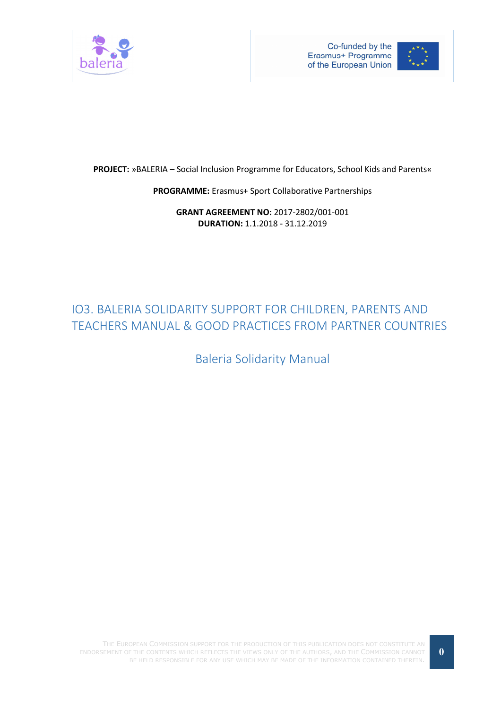



PROJECT: »BALERIA – Social Inclusion Programme for Educators, School Kids and Parents«

PROGRAMME: Erasmus+ Sport Collaborative Partnerships

GRANT AGREEMENT NO: 2017-2802/001-001 DURATION: 1.1.2018 - 31.12.2019

# IO3. BALERIA SOLIDARITY SUPPORT FOR CHILDREN, PARENTS AND TEACHERS MANUAL & GOOD PRACTICES FROM PARTNER COUNTRIES

Baleria Solidarity Manual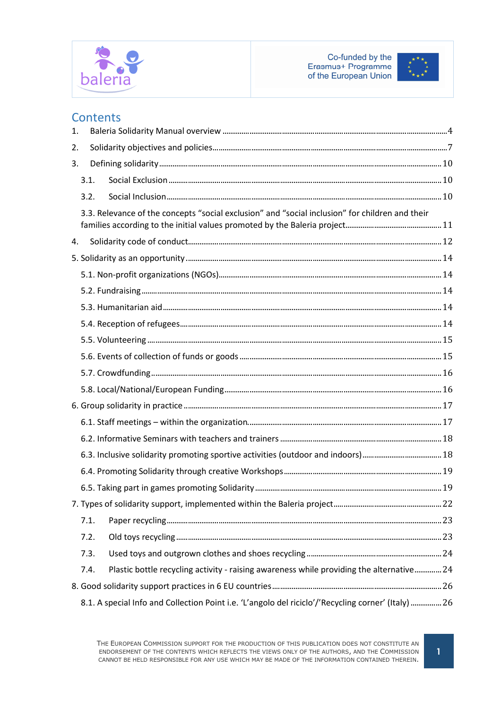



# **Contents**

| 1. |                                                                                                     |  |
|----|-----------------------------------------------------------------------------------------------------|--|
| 2. |                                                                                                     |  |
| 3. |                                                                                                     |  |
|    | 3.1.                                                                                                |  |
|    | 3.2.                                                                                                |  |
|    | 3.3. Relevance of the concepts "social exclusion" and "social inclusion" for children and their     |  |
|    |                                                                                                     |  |
| 4. |                                                                                                     |  |
|    |                                                                                                     |  |
|    |                                                                                                     |  |
|    |                                                                                                     |  |
|    |                                                                                                     |  |
|    |                                                                                                     |  |
|    |                                                                                                     |  |
|    |                                                                                                     |  |
|    |                                                                                                     |  |
|    |                                                                                                     |  |
|    |                                                                                                     |  |
|    |                                                                                                     |  |
|    |                                                                                                     |  |
|    |                                                                                                     |  |
|    |                                                                                                     |  |
|    |                                                                                                     |  |
|    |                                                                                                     |  |
|    | 7.1.                                                                                                |  |
|    | 7.2.                                                                                                |  |
|    | 7.3.                                                                                                |  |
|    | Plastic bottle recycling activity - raising awareness while providing the alternative 24<br>7.4.    |  |
|    |                                                                                                     |  |
|    | 8.1. A special Info and Collection Point i.e. 'L'angolo del riciclo'/'Recycling corner' (Italy)  26 |  |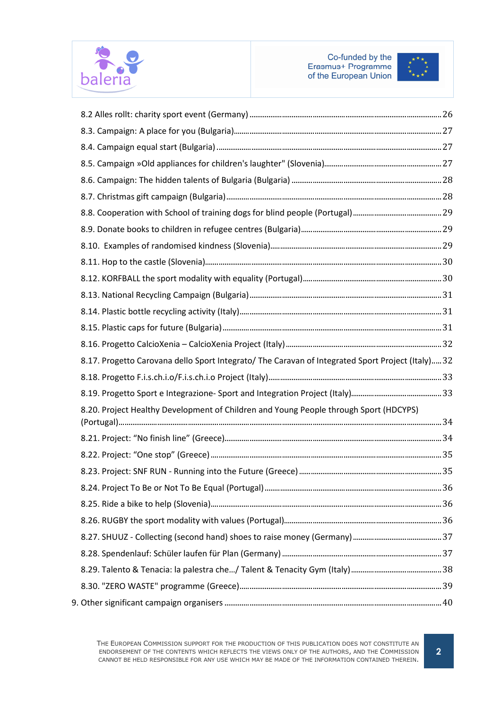



| 8.17. Progetto Carovana dello Sport Integrato/ The Caravan of Integrated Sport Project (Italy) 32 |  |
|---------------------------------------------------------------------------------------------------|--|
|                                                                                                   |  |
|                                                                                                   |  |
| 8.20. Project Healthy Development of Children and Young People through Sport (HDCYPS)             |  |
|                                                                                                   |  |
|                                                                                                   |  |
|                                                                                                   |  |
|                                                                                                   |  |
|                                                                                                   |  |
|                                                                                                   |  |
|                                                                                                   |  |
|                                                                                                   |  |
|                                                                                                   |  |
|                                                                                                   |  |
|                                                                                                   |  |
|                                                                                                   |  |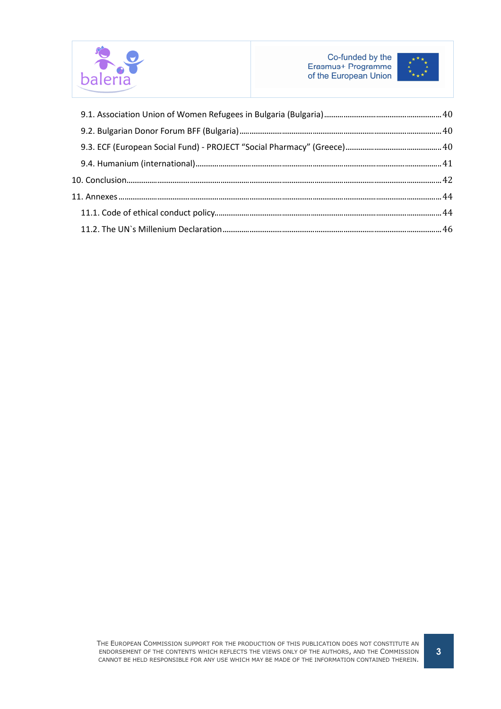

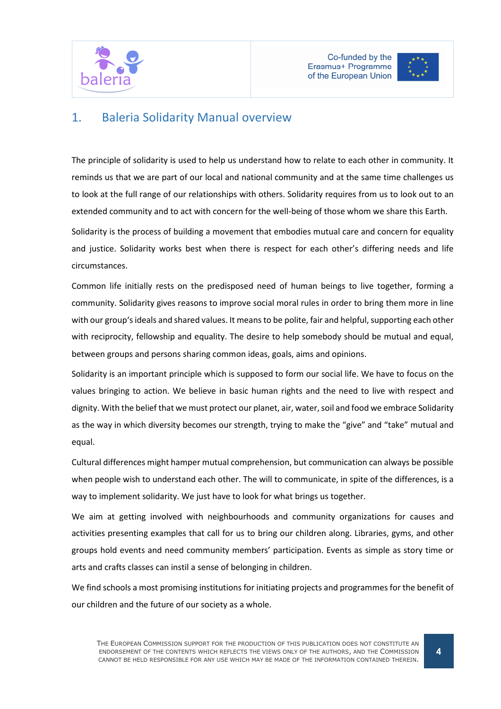



# 1. Baleria Solidarity Manual overview

The principle of solidarity is used to help us understand how to relate to each other in community. It reminds us that we are part of our local and national community and at the same time challenges us to look at the full range of our relationships with others. Solidarity requires from us to look out to an extended community and to act with concern for the well-being of those whom we share this Earth.

Solidarity is the process of building a movement that embodies mutual care and concern for equality and justice. Solidarity works best when there is respect for each other's differing needs and life circumstances.

Common life initially rests on the predisposed need of human beings to live together, forming a community. Solidarity gives reasons to improve social moral rules in order to bring them more in line with our group's ideals and shared values. It means to be polite, fair and helpful, supporting each other with reciprocity, fellowship and equality. The desire to help somebody should be mutual and equal, between groups and persons sharing common ideas, goals, aims and opinions.

Solidarity is an important principle which is supposed to form our social life. We have to focus on the values bringing to action. We believe in basic human rights and the need to live with respect and dignity. With the belief that we must protect our planet, air, water, soil and food we embrace Solidarity as the way in which diversity becomes our strength, trying to make the "give" and "take" mutual and equal.

Cultural differences might hamper mutual comprehension, but communication can always be possible when people wish to understand each other. The will to communicate, in spite of the differences, is a way to implement solidarity. We just have to look for what brings us together.

We aim at getting involved with neighbourhoods and community organizations for causes and activities presenting examples that call for us to bring our children along. Libraries, gyms, and other groups hold events and need community members' participation. Events as simple as story time or arts and crafts classes can instil a sense of belonging in children.

We find schools a most promising institutions for initiating projects and programmes for the benefit of our children and the future of our society as a whole.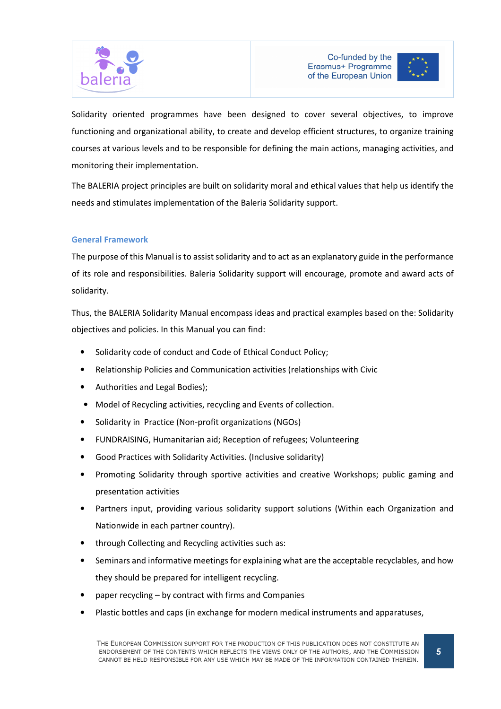



Solidarity oriented programmes have been designed to cover several objectives, to improve functioning and organizational ability, to create and develop efficient structures, to organize training courses at various levels and to be responsible for defining the main actions, managing activities, and monitoring their implementation.

The BALERIA project principles are built on solidarity moral and ethical values that help us identify the needs and stimulates implementation of the Baleria Solidarity support.

#### General Framework

The purpose of this Manual is to assist solidarity and to act as an explanatory guide in the performance of its role and responsibilities. Baleria Solidarity support will encourage, promote and award acts of solidarity.

Thus, the BALERIA Solidarity Manual encompass ideas and practical examples based on the: Solidarity objectives and policies. In this Manual you can find:

- Solidarity code of conduct and Code of Ethical Conduct Policy;
- Relationship Policies and Communication activities (relationships with Civic
- Authorities and Legal Bodies);
- Model of Recycling activities, recycling and Events of collection.
- Solidarity in Practice (Non-profit organizations (NGOs)
- FUNDRAISING, Humanitarian aid; Reception of refugees; Volunteering
- Good Practices with Solidarity Activities. (Inclusive solidarity)
- Promoting Solidarity through sportive activities and creative Workshops; public gaming and presentation activities
- Partners input, providing various solidarity support solutions (Within each Organization and Nationwide in each partner country).
- through Collecting and Recycling activities such as:
- Seminars and informative meetings for explaining what are the acceptable recyclables, and how they should be prepared for intelligent recycling.
- paper recycling by contract with firms and Companies
- Plastic bottles and caps (in exchange for modern medical instruments and apparatuses,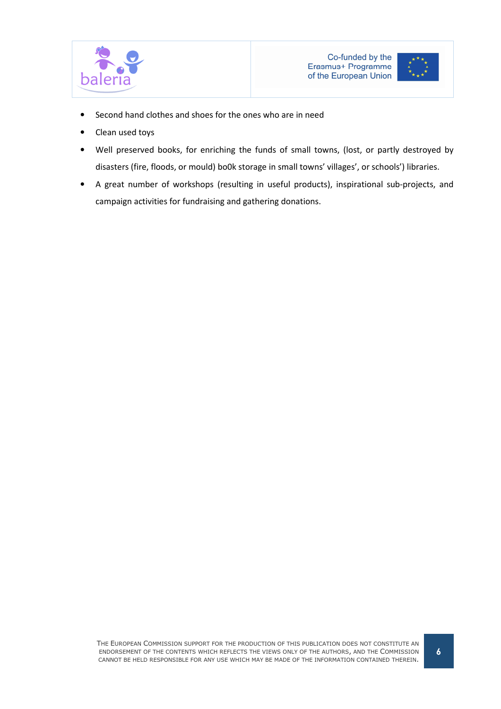



- Second hand clothes and shoes for the ones who are in need
- Clean used toys
- Well preserved books, for enriching the funds of small towns, (lost, or partly destroyed by disasters (fire, floods, or mould) bo0k storage in small towns' villages', or schools') libraries.
- A great number of workshops (resulting in useful products), inspirational sub-projects, and campaign activities for fundraising and gathering donations.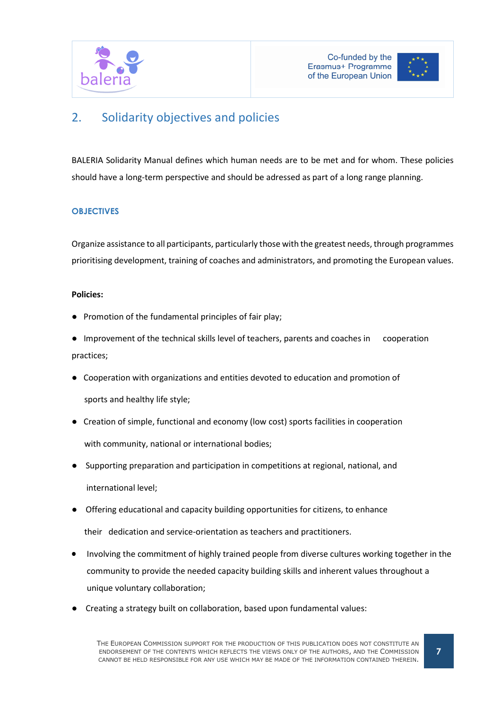



# 2. Solidarity objectives and policies

BALERIA Solidarity Manual defines which human needs are to be met and for whom. These policies should have a long-term perspective and should be adressed as part of a long range planning.

### **OBJECTIVES**

Organize assistance to all participants, particularly those with the greatest needs, through programmes prioritising development, training of coaches and administrators, and promoting the European values.

#### Policies:

- Promotion of the fundamental principles of fair play;
- Improvement of the technical skills level of teachers, parents and coaches in cooperation practices;
- Cooperation with organizations and entities devoted to education and promotion of sports and healthy life style;
- Creation of simple, functional and economy (low cost) sports facilities in cooperation with community, national or international bodies;
- Supporting preparation and participation in competitions at regional, national, and international level;
- Offering educational and capacity building opportunities for citizens, to enhance

their dedication and service-orientation as teachers and practitioners.

- Involving the commitment of highly trained people from diverse cultures working together in the community to provide the needed capacity building skills and inherent values throughout a unique voluntary collaboration;
- Creating a strategy built on collaboration, based upon fundamental values: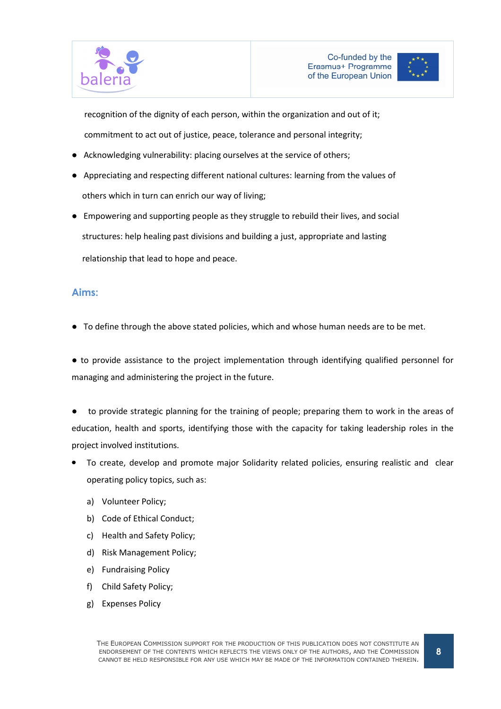



 recognition of the dignity of each person, within the organization and out of it; commitment to act out of justice, peace, tolerance and personal integrity;

- Acknowledging vulnerability: placing ourselves at the service of others;
- Appreciating and respecting different national cultures: learning from the values of others which in turn can enrich our way of living;
- Empowering and supporting people as they struggle to rebuild their lives, and social structures: help healing past divisions and building a just, appropriate and lasting relationship that lead to hope and peace.

## Aims:

● To define through the above stated policies, which and whose human needs are to be met.

● to provide assistance to the project implementation through identifying qualified personnel for managing and administering the project in the future.

to provide strategic planning for the training of people; preparing them to work in the areas of education, health and sports, identifying those with the capacity for taking leadership roles in the project involved institutions.

- To create, develop and promote major Solidarity related policies, ensuring realistic and clear operating policy topics, such as:
	- a) Volunteer Policy;
	- b) Code of Ethical Conduct;
	- c) Health and Safety Policy;
	- d) Risk Management Policy;
	- e) Fundraising Policy
	- f) Child Safety Policy;
	- g) Expenses Policy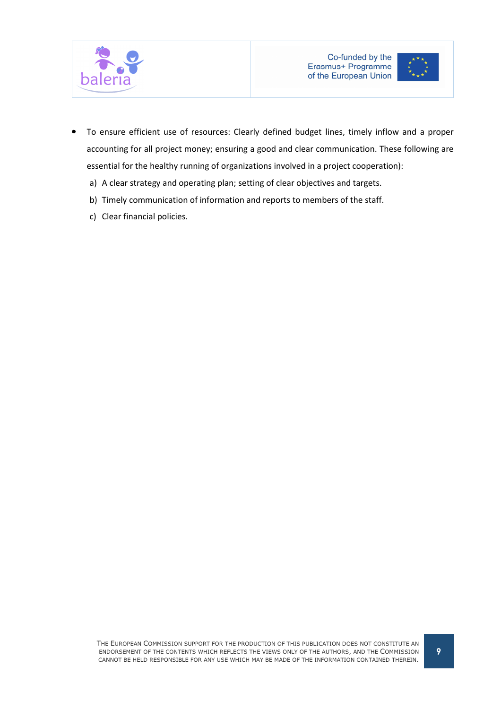



- To ensure efficient use of resources: Clearly defined budget lines, timely inflow and a proper accounting for all project money; ensuring a good and clear communication. These following are essential for the healthy running of organizations involved in a project cooperation):
	- a) A clear strategy and operating plan; setting of clear objectives and targets.
	- b) Timely communication of information and reports to members of the staff.
	- c) Clear financial policies.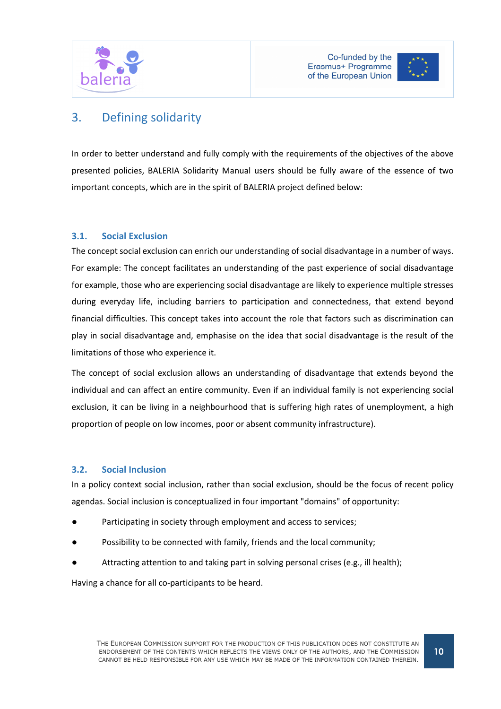



# 3. Defining solidarity

In order to better understand and fully comply with the requirements of the objectives of the above presented policies, BALERIA Solidarity Manual users should be fully aware of the essence of two important concepts, which are in the spirit of BALERIA project defined below:

## 3.1. Social Exclusion

The concept social exclusion can enrich our understanding of social disadvantage in a number of ways. For example: The concept facilitates an understanding of the past experience of social disadvantage for example, those who are experiencing social disadvantage are likely to experience multiple stresses during everyday life, including barriers to participation and connectedness, that extend beyond financial difficulties. This concept takes into account the role that factors such as discrimination can play in social disadvantage and, emphasise on the idea that social disadvantage is the result of the limitations of those who experience it.

The concept of social exclusion allows an understanding of disadvantage that extends beyond the individual and can affect an entire community. Even if an individual family is not experiencing social exclusion, it can be living in a neighbourhood that is suffering high rates of unemployment, a high proportion of people on low incomes, poor or absent community infrastructure).

### 3.2. Social Inclusion

In a policy context social inclusion, rather than social exclusion, should be the focus of recent policy agendas. Social inclusion is conceptualized in four important "domains" of opportunity:

- Participating in society through employment and access to services:
- Possibility to be connected with family, friends and the local community;
- Attracting attention to and taking part in solving personal crises (e.g., ill health);

Having a chance for all co-participants to be heard.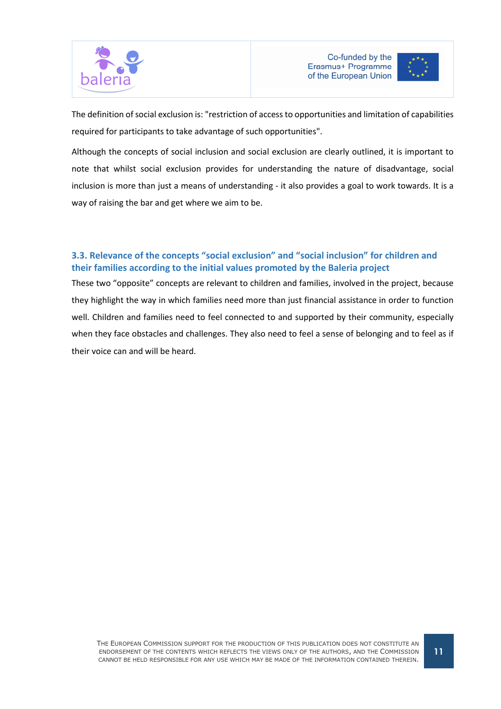



The definition of social exclusion is: "restriction of access to opportunities and limitation of capabilities required for participants to take advantage of such opportunities".

Although the concepts of social inclusion and social exclusion are clearly outlined, it is important to note that whilst social exclusion provides for understanding the nature of disadvantage, social inclusion is more than just a means of understanding - it also provides a goal to work towards. It is a way of raising the bar and get where we aim to be.

## 3.3. Relevance of the concepts "social exclusion" and "social inclusion" for children and their families according to the initial values promoted by the Baleria project

These two "opposite" concepts are relevant to children and families, involved in the project, because they highlight the way in which families need more than just financial assistance in order to function well. Children and families need to feel connected to and supported by their community, especially when they face obstacles and challenges. They also need to feel a sense of belonging and to feel as if their voice can and will be heard.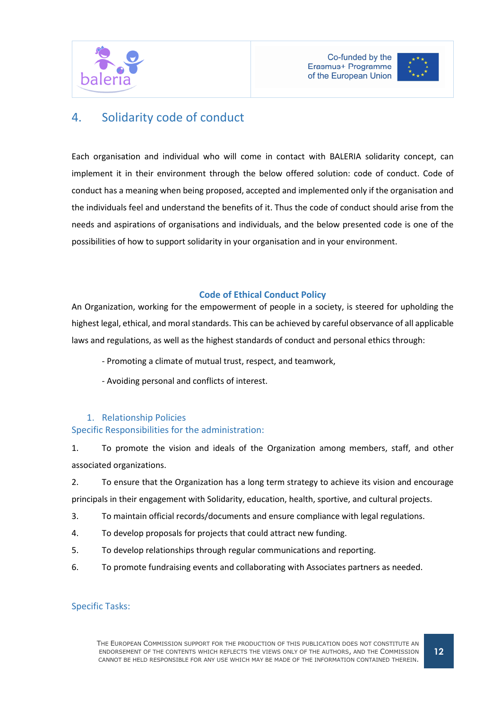



# 4. Solidarity code of conduct

Each organisation and individual who will come in contact with BALERIA solidarity concept, can implement it in their environment through the below offered solution: code of conduct. Code of conduct has a meaning when being proposed, accepted and implemented only if the organisation and the individuals feel and understand the benefits of it. Thus the code of conduct should arise from the needs and aspirations of organisations and individuals, and the below presented code is one of the possibilities of how to support solidarity in your organisation and in your environment.

#### Code of Ethical Conduct Policy

An Organization, working for the empowerment of people in a society, is steered for upholding the highest legal, ethical, and moral standards. This can be achieved by careful observance of all applicable laws and regulations, as well as the highest standards of conduct and personal ethics through:

- Promoting a climate of mutual trust, respect, and teamwork,
- Avoiding personal and conflicts of interest.

## 1. Relationship Policies

#### Specific Responsibilities for the administration:

1. To promote the vision and ideals of the Organization among members, staff, and other associated organizations.

2. To ensure that the Organization has a long term strategy to achieve its vision and encourage

principals in their engagement with Solidarity, education, health, sportive, and cultural projects.

- 3. To maintain official records/documents and ensure compliance with legal regulations.
- 4. To develop proposals for projects that could attract new funding.
- 5. To develop relationships through regular communications and reporting.
- 6. To promote fundraising events and collaborating with Associates partners as needed.

### Specific Tasks: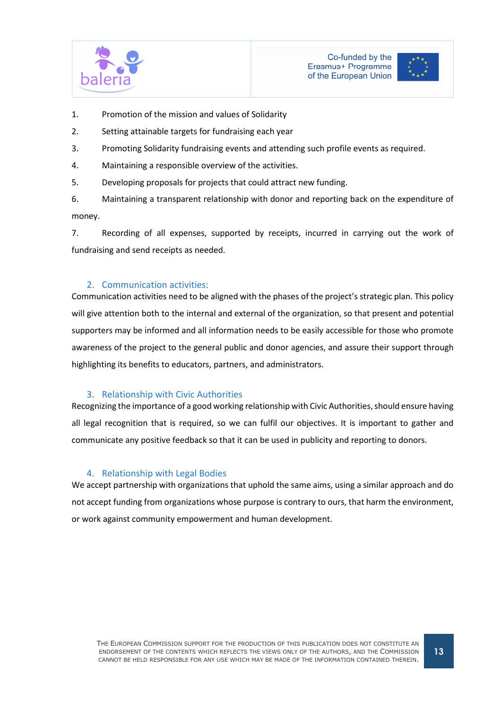



- 1. Promotion of the mission and values of Solidarity
- 2. Setting attainable targets for fundraising each year
- 3. Promoting Solidarity fundraising events and attending such profile events as required.
- 4. Maintaining a responsible overview of the activities.
- 5. Developing proposals for projects that could attract new funding.

6. Maintaining a transparent relationship with donor and reporting back on the expenditure of money.

7. Recording of all expenses, supported by receipts, incurred in carrying out the work of fundraising and send receipts as needed.

#### 2. Communication activities:

Communication activities need to be aligned with the phases of the project's strategic plan. This policy will give attention both to the internal and external of the organization, so that present and potential supporters may be informed and all information needs to be easily accessible for those who promote awareness of the project to the general public and donor agencies, and assure their support through highlighting its benefits to educators, partners, and administrators.

#### 3. Relationship with Civic Authorities

Recognizing the importance of a good working relationship with Civic Authorities, should ensure having all legal recognition that is required, so we can fulfil our objectives. It is important to gather and communicate any positive feedback so that it can be used in publicity and reporting to donors.

#### 4. Relationship with Legal Bodies

We accept partnership with organizations that uphold the same aims, using a similar approach and do not accept funding from organizations whose purpose is contrary to ours, that harm the environment, or work against community empowerment and human development.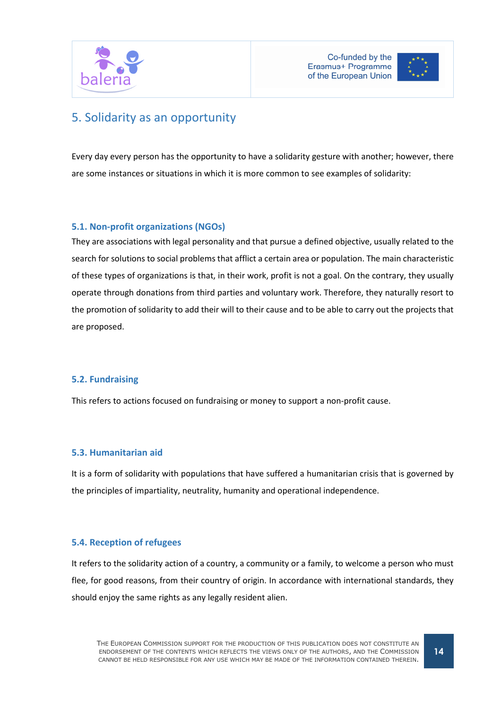



# 5. Solidarity as an opportunity

Every day every person has the opportunity to have a solidarity gesture with another; however, there are some instances or situations in which it is more common to see examples of solidarity:

## 5.1. Non-profit organizations (NGOs)

They are associations with legal personality and that pursue a defined objective, usually related to the search for solutions to social problems that afflict a certain area or population. The main characteristic of these types of organizations is that, in their work, profit is not a goal. On the contrary, they usually operate through donations from third parties and voluntary work. Therefore, they naturally resort to the promotion of solidarity to add their will to their cause and to be able to carry out the projects that are proposed.

### 5.2. Fundraising

This refers to actions focused on fundraising or money to support a non-profit cause.

### 5.3. Humanitarian aid

It is a form of solidarity with populations that have suffered a humanitarian crisis that is governed by the principles of impartiality, neutrality, humanity and operational independence.

### 5.4. Reception of refugees

It refers to the solidarity action of a country, a community or a family, to welcome a person who must flee, for good reasons, from their country of origin. In accordance with international standards, they should enjoy the same rights as any legally resident alien.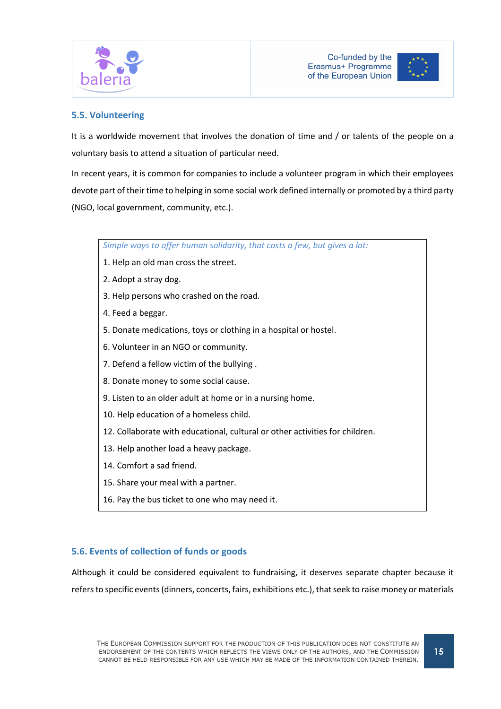



### 5.5. Volunteering

It is a worldwide movement that involves the donation of time and / or talents of the people on a voluntary basis to attend a situation of particular need.

In recent years, it is common for companies to include a volunteer program in which their employees devote part of their time to helping in some social work defined internally or promoted by a third party (NGO, local government, community, etc.).

Simple ways to offer human solidarity, that costs a few, but gives a lot:

- 1. Help an old man cross the street.
- 2. Adopt a stray dog.
- 3. Help persons who crashed on the road.
- 4. Feed a beggar.
- 5. Donate medications, toys or clothing in a hospital or hostel.
- 6. Volunteer in an NGO or community.
- 7. Defend a fellow victim of the bullying .
- 8. Donate money to some social cause.
- 9. Listen to an older adult at home or in a nursing home.
- 10. Help education of a homeless child.
- 12. Collaborate with educational, cultural or other activities for children.
- 13. Help another load a heavy package.
- 14. Comfort a sad friend.
- 15. Share your meal with a partner.
- 16. Pay the bus ticket to one who may need it.

### 5.6. Events of collection of funds or goods

Although it could be considered equivalent to fundraising, it deserves separate chapter because it refers to specific events (dinners, concerts, fairs, exhibitions etc.), that seek to raise money or materials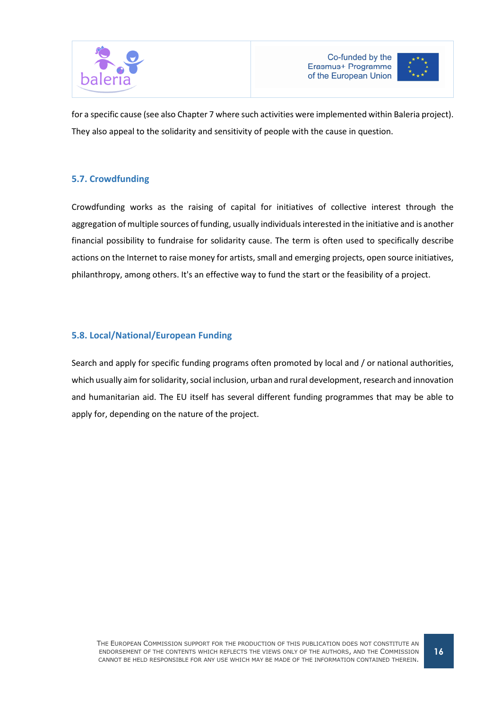



for a specific cause (see also Chapter 7 where such activities were implemented within Baleria project). They also appeal to the solidarity and sensitivity of people with the cause in question.

## 5.7. Crowdfunding

Crowdfunding works as the raising of capital for initiatives of collective interest through the aggregation of multiple sources of funding, usually individuals interested in the initiative and is another financial possibility to fundraise for solidarity cause. The term is often used to specifically describe actions on the Internet to raise money for artists, small and emerging projects, open source initiatives, philanthropy, among others. It's an effective way to fund the start or the feasibility of a project.

## 5.8. Local/National/European Funding

Search and apply for specific funding programs often promoted by local and / or national authorities, which usually aim for solidarity, social inclusion, urban and rural development, research and innovation and humanitarian aid. The EU itself has several different funding programmes that may be able to apply for, depending on the nature of the project.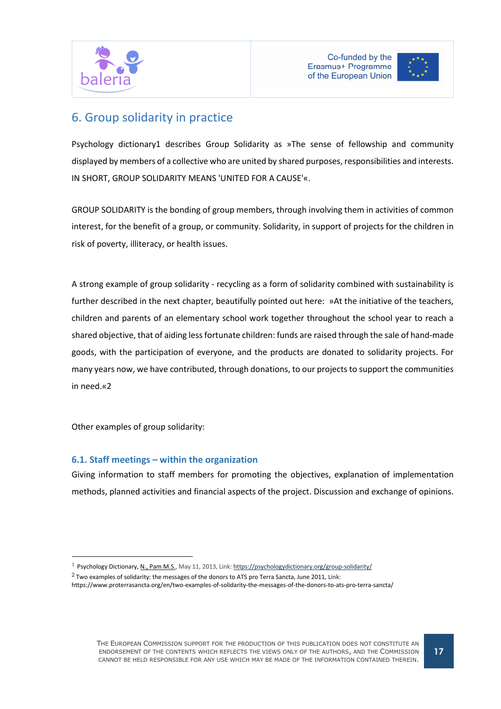



# 6. Group solidarity in practice

Psychology dictionary1 describes Group Solidarity as »The sense of fellowship and community displayed by members of a collective who are united by shared purposes, responsibilities and interests. IN SHORT, GROUP SOLIDARITY MEANS 'UNITED FOR A CAUSE'«.

GROUP SOLIDARITY is the bonding of group members, through involving them in activities of common interest, for the benefit of a group, or community. Solidarity, in support of projects for the children in risk of poverty, illiteracy, or health issues.

A strong example of group solidarity - recycling as a form of solidarity combined with sustainability is further described in the next chapter, beautifully pointed out here: »At the initiative of the teachers, children and parents of an elementary school work together throughout the school year to reach a shared objective, that of aiding less fortunate children: funds are raised through the sale of hand-made goods, with the participation of everyone, and the products are donated to solidarity projects. For many years now, we have contributed, through donations, to our projects to support the communities in need.«2

Other examples of group solidarity:

 $\overline{a}$ 

## 6.1. Staff meetings – within the organization

Giving information to staff members for promoting the objectives, explanation of implementation methods, planned activities and financial aspects of the project. Discussion and exchange of opinions.

<sup>&</sup>lt;sup>1</sup> Psychology Dictionary, N., Pam M.S., May 11, 2013, Link: https://psychologydictionary.org/group-solidarity/

 $2$  Two examples of solidarity: the messages of the donors to ATS pro Terra Sancta, June 2011, Link:

https://www.proterrasancta.org/en/two-examples-of-solidarity-the-messages-of-the-donors-to-ats-pro-terra-sancta/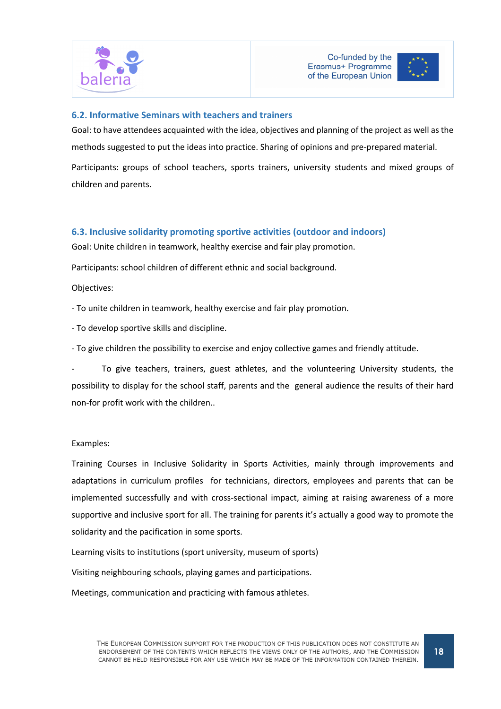



#### 6.2. Informative Seminars with teachers and trainers

Goal: to have attendees acquainted with the idea, objectives and planning of the project as well as the methods suggested to put the ideas into practice. Sharing of opinions and pre-prepared material.

Participants: groups of school teachers, sports trainers, university students and mixed groups of children and parents.

### 6.3. Inclusive solidarity promoting sportive activities (outdoor and indoors)

Goal: Unite children in teamwork, healthy exercise and fair play promotion.

Participants: school children of different ethnic and social background.

Objectives:

- To unite children in teamwork, healthy exercise and fair play promotion.

- To develop sportive skills and discipline.

- To give children the possibility to exercise and enjoy collective games and friendly attitude.

To give teachers, trainers, guest athletes, and the volunteering University students, the possibility to display for the school staff, parents and the general audience the results of their hard non-for profit work with the children..

#### Examples:

Training Courses in Inclusive Solidarity in Sports Activities, mainly through improvements and adaptations in curriculum profiles for technicians, directors, employees and parents that can be implemented successfully and with cross-sectional impact, aiming at raising awareness of a more supportive and inclusive sport for all. The training for parents it's actually a good way to promote the solidarity and the pacification in some sports.

Learning visits to institutions (sport university, museum of sports)

Visiting neighbouring schools, playing games and participations.

Meetings, communication and practicing with famous athletes.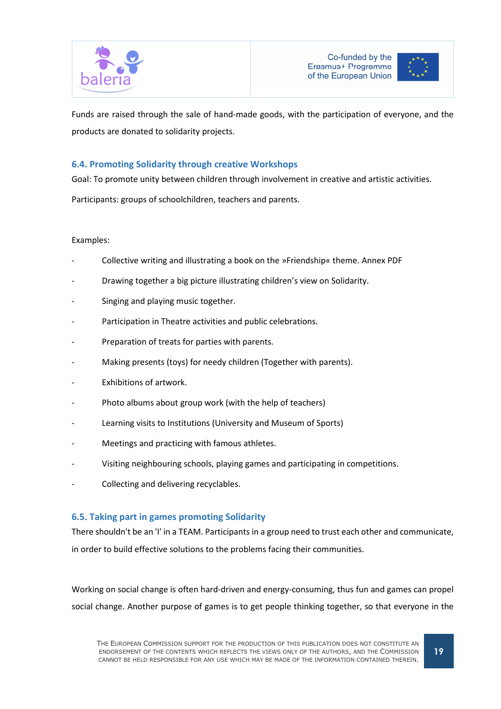



Funds are raised through the sale of hand-made goods, with the participation of everyone, and the products are donated to solidarity projects.

### 6.4. Promoting Solidarity through creative Workshops

Goal: To promote unity between children through involvement in creative and artistic activities.

Participants: groups of schoolchildren, teachers and parents.

#### Examples:

- Collective writing and illustrating a book on the »Friendship« theme. Annex PDF
- Drawing together a big picture illustrating children's view on Solidarity.
- Singing and playing music together.
- Participation in Theatre activities and public celebrations.
- Preparation of treats for parties with parents.
- Making presents (toys) for needy children (Together with parents).
- Exhibitions of artwork.
- Photo albums about group work (with the help of teachers)
- Learning visits to Institutions (University and Museum of Sports)
- Meetings and practicing with famous athletes.
- Visiting neighbouring schools, playing games and participating in competitions.
- Collecting and delivering recyclables.

#### 6.5. Taking part in games promoting Solidarity

There shouldn't be an 'I' in a TEAM. Participants in a group need to trust each other and communicate, in order to build effective solutions to the problems facing their communities.

Working on social change is often hard-driven and energy-consuming, thus fun and games can propel social change. Another purpose of games is to get people thinking together, so that everyone in the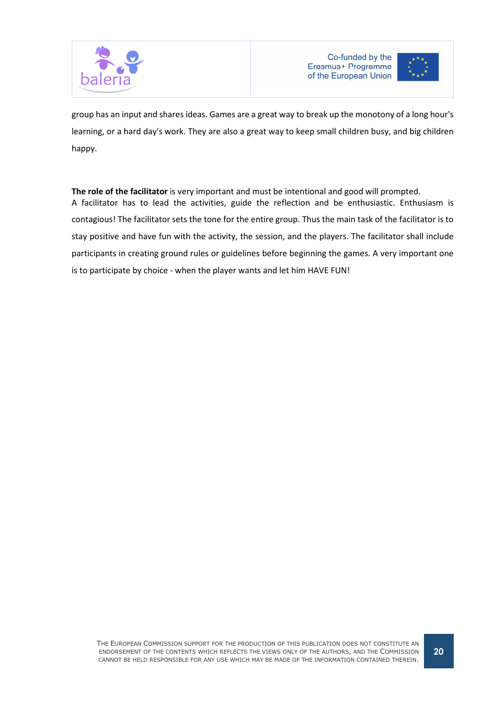



group has an input and shares ideas. Games are a great way to break up the monotony of a long hour's learning, or a hard day's work. They are also a great way to keep small children busy, and big children happy.

The role of the facilitator is very important and must be intentional and good will prompted. A facilitator has to lead the activities, guide the reflection and be enthusiastic. Enthusiasm is contagious! The facilitator sets the tone for the entire group. Thus the main task of the facilitator is to stay positive and have fun with the activity, the session, and the players. The facilitator shall include participants in creating ground rules or guidelines before beginning the games. A very important one is to participate by choice - when the player wants and let him HAVE FUN!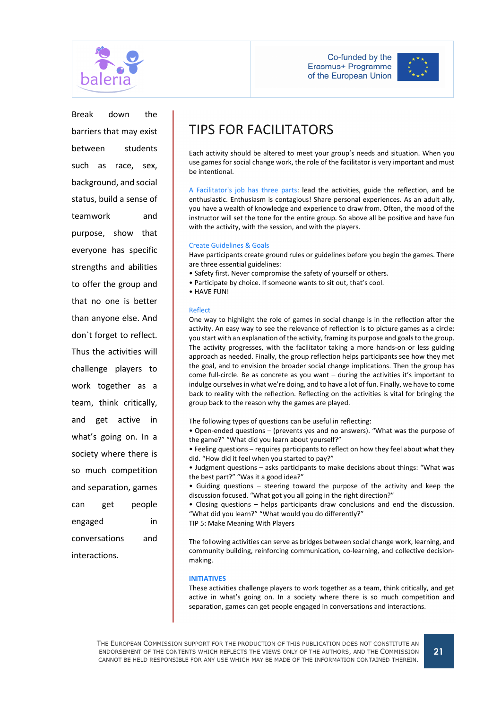



Break down the barriers that may exist between students such as race, sex, background, and social status, build a sense of teamwork and purpose, show that everyone has specific strengths and abilities to offer the group and that no one is better than anyone else. And don`t forget to reflect. Thus the activities will challenge players to work together as a team, think critically, and get active in what's going on. In a society where there is so much competition and separation, games can get people engaged in conversations and interactions.

# TIPS FOR FACILITATORS

Each activity should be altered to meet your group's needs and situation. When you use games for social change work, the role of the facilitator is very important and must be intentional.

A Facilitator's job has three parts: lead the activities, guide the reflection, and be enthusiastic. Enthusiasm is contagious! Share personal experiences. As an adult ally, you have a wealth of knowledge and experience to draw from. Often, the mood of the instructor will set the tone for the entire group. So above all be positive and have fun with the activity, with the session, and with the players.

#### Create Guidelines & Goals

Have participants create ground rules or guidelines before you begin the games. There are three essential guidelines:

• Safety first. Never compromise the safety of yourself or others.

• Participate by choice. If someone wants to sit out, that's cool.

• HAVE FUN!

#### Reflect

One way to highlight the role of games in social change is in the reflection after the activity. An easy way to see the relevance of reflection is to picture games as a circle: you start with an explanation of the activity, framing its purpose and goals to the group. The activity progresses, with the facilitator taking a more hands-on or less guiding approach as needed. Finally, the group reflection helps participants see how they met the goal, and to envision the broader social change implications. Then the group has come full-circle. Be as concrete as you want – during the activities it's important to indulge ourselves in what we're doing, and to have a lot of fun. Finally, we have to come back to reality with the reflection. Reflecting on the activities is vital for bringing the group back to the reason why the games are played.

The following types of questions can be useful in reflecting:

• Open-ended questions – (prevents yes and no answers). "What was the purpose of the game?" "What did you learn about yourself?"

• Feeling questions – requires participants to reflect on how they feel about what they did. "How did it feel when you started to pay?"

• Judgment questions – asks participants to make decisions about things: "What was the best part?" "Was it a good idea?"

• Guiding questions – steering toward the purpose of the activity and keep the discussion focused. "What got you all going in the right direction?"

• Closing questions – helps participants draw conclusions and end the discussion. "What did you learn?" "What would you do differently?"

TIP 5: Make Meaning With Players

The following activities can serve as bridges between social change work, learning, and community building, reinforcing communication, co-learning, and collective decisionmaking.

#### INITIATIVES

These activities challenge players to work together as a team, think critically, and get active in what's going on. In a society where there is so much competition and separation, games can get people engaged in conversations and interactions.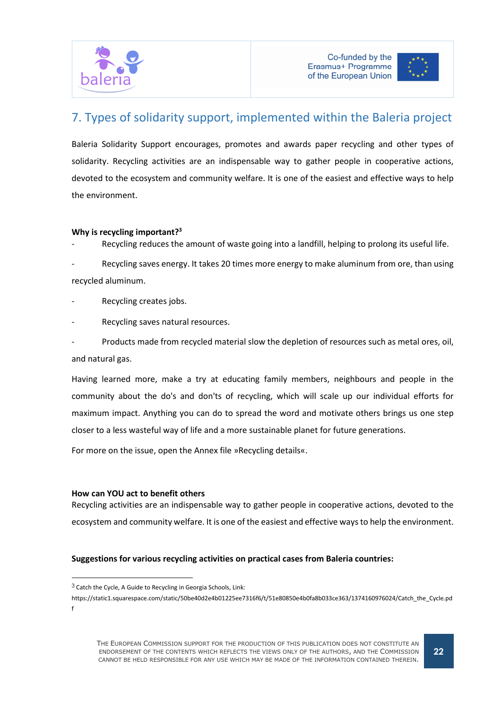



# 7. Types of solidarity support, implemented within the Baleria project

Baleria Solidarity Support encourages, promotes and awards paper recycling and other types of solidarity. Recycling activities are an indispensable way to gather people in cooperative actions, devoted to the ecosystem and community welfare. It is one of the easiest and effective ways to help the environment.

#### Why is recycling important?<sup>3</sup>

Recycling reduces the amount of waste going into a landfill, helping to prolong its useful life.

Recycling saves energy. It takes 20 times more energy to make aluminum from ore, than using recycled aluminum.

- Recycling creates jobs.
- Recycling saves natural resources.

Products made from recycled material slow the depletion of resources such as metal ores, oil, and natural gas.

Having learned more, make a try at educating family members, neighbours and people in the community about the do's and don'ts of recycling, which will scale up our individual efforts for maximum impact. Anything you can do to spread the word and motivate others brings us one step closer to a less wasteful way of life and a more sustainable planet for future generations.

For more on the issue, open the Annex file »Recycling details«.

#### How can YOU act to benefit others

 $\overline{a}$ 

Recycling activities are an indispensable way to gather people in cooperative actions, devoted to the ecosystem and community welfare. It is one of the easiest and effective ways to help the environment.

### Suggestions for various recycling activities on practical cases from Baleria countries:

<sup>3</sup> Catch the Cycle, A Guide to Recycling in Georgia Schools, Link:

https://static1.squarespace.com/static/50be40d2e4b01225ee7316f6/t/51e80850e4b0fa8b033ce363/1374160976024/Catch\_the\_Cycle.pd f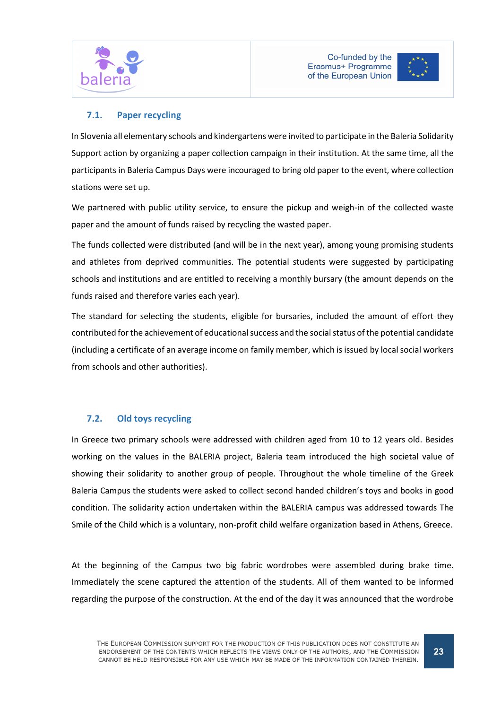



## 7.1. Paper recycling

In Slovenia all elementary schools and kindergartens were invited to participate in the Baleria Solidarity Support action by organizing a paper collection campaign in their institution. At the same time, all the participants in Baleria Campus Days were incouraged to bring old paper to the event, where collection stations were set up.

We partnered with public utility service, to ensure the pickup and weigh-in of the collected waste paper and the amount of funds raised by recycling the wasted paper.

The funds collected were distributed (and will be in the next year), among young promising students and athletes from deprived communities. The potential students were suggested by participating schools and institutions and are entitled to receiving a monthly bursary (the amount depends on the funds raised and therefore varies each year).

The standard for selecting the students, eligible for bursaries, included the amount of effort they contributed for the achievement of educational success and the social status of the potential candidate (including a certificate of an average income on family member, which is issued by local social workers from schools and other authorities).

## 7.2. Old toys recycling

In Greece two primary schools were addressed with children aged from 10 to 12 years old. Besides working on the values in the BALERIA project, Baleria team introduced the high societal value of showing their solidarity to another group of people. Throughout the whole timeline of the Greek Baleria Campus the students were asked to collect second handed children's toys and books in good condition. The solidarity action undertaken within the BALERIA campus was addressed towards The Smile of the Child which is a voluntary, non-profit child welfare organization based in Athens, Greece.

At the beginning of the Campus two big fabric wordrobes were assembled during brake time. Immediately the scene captured the attention of the students. All of them wanted to be informed regarding the purpose of the construction. At the end of the day it was announced that the wordrobe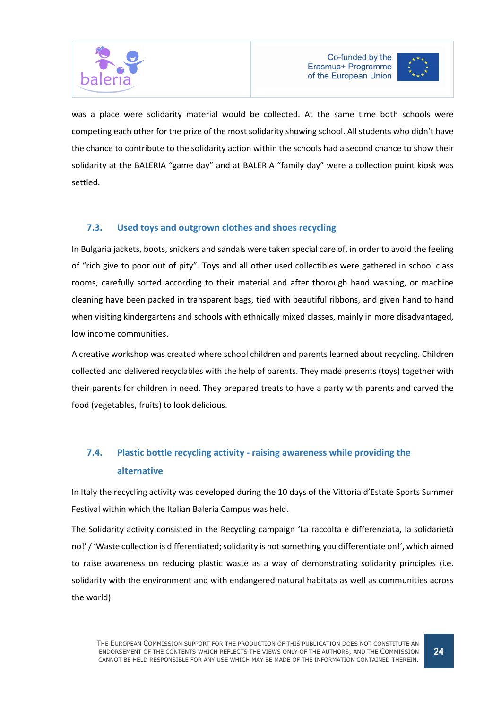



was a place were solidarity material would be collected. At the same time both schools were competing each other for the prize of the most solidarity showing school. All students who didn't have the chance to contribute to the solidarity action within the schools had a second chance to show their solidarity at the BALERIA "game day" and at BALERIA "family day" were a collection point kiosk was settled.

## 7.3. Used toys and outgrown clothes and shoes recycling

In Bulgaria jackets, boots, snickers and sandals were taken special care of, in order to avoid the feeling of "rich give to poor out of pity". Toys and all other used collectibles were gathered in school class rooms, carefully sorted according to their material and after thorough hand washing, or machine cleaning have been packed in transparent bags, tied with beautiful ribbons, and given hand to hand when visiting kindergartens and schools with ethnically mixed classes, mainly in more disadvantaged, low income communities.

A creative workshop was created where school children and parents learned about recycling. Children collected and delivered recyclables with the help of parents. They made presents (toys) together with their parents for children in need. They prepared treats to have a party with parents and carved the food (vegetables, fruits) to look delicious.

# 7.4. Plastic bottle recycling activity - raising awareness while providing the alternative

In Italy the recycling activity was developed during the 10 days of the Vittoria d'Estate Sports Summer Festival within which the Italian Baleria Campus was held.

The Solidarity activity consisted in the Recycling campaign 'La raccolta è differenziata, la solidarietà no!' / 'Waste collection is differentiated; solidarity is not something you differentiate on!', which aimed to raise awareness on reducing plastic waste as a way of demonstrating solidarity principles (i.e. solidarity with the environment and with endangered natural habitats as well as communities across the world).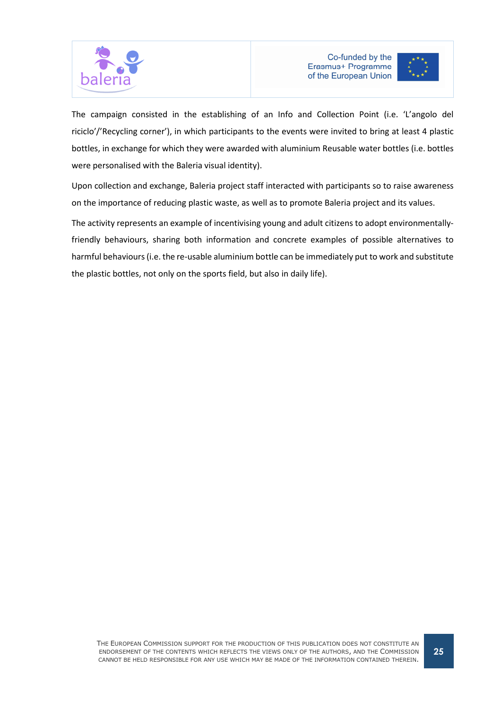



The campaign consisted in the establishing of an Info and Collection Point (i.e. 'L'angolo del riciclo'/'Recycling corner'), in which participants to the events were invited to bring at least 4 plastic bottles, in exchange for which they were awarded with aluminium Reusable water bottles (i.e. bottles were personalised with the Baleria visual identity).

Upon collection and exchange, Baleria project staff interacted with participants so to raise awareness on the importance of reducing plastic waste, as well as to promote Baleria project and its values.

The activity represents an example of incentivising young and adult citizens to adopt environmentallyfriendly behaviours, sharing both information and concrete examples of possible alternatives to harmful behaviours (i.e. the re-usable aluminium bottle can be immediately put to work and substitute the plastic bottles, not only on the sports field, but also in daily life).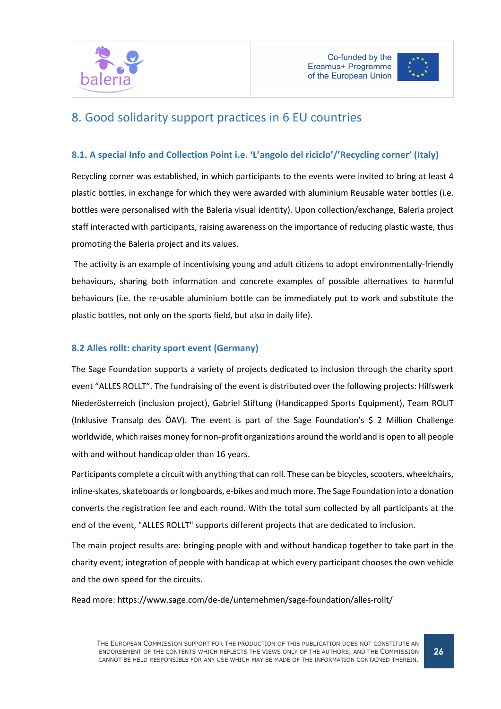



# 8. Good solidarity support practices in 6 EU countries

## 8.1. A special Info and Collection Point i.e. 'L'angolo del riciclo'/'Recycling corner' (Italy)

Recycling corner was established, in which participants to the events were invited to bring at least 4 plastic bottles, in exchange for which they were awarded with aluminium Reusable water bottles (i.e. bottles were personalised with the Baleria visual identity). Upon collection/exchange, Baleria project staff interacted with participants, raising awareness on the importance of reducing plastic waste, thus promoting the Baleria project and its values.

 The activity is an example of incentivising young and adult citizens to adopt environmentally-friendly behaviours, sharing both information and concrete examples of possible alternatives to harmful behaviours (i.e. the re-usable aluminium bottle can be immediately put to work and substitute the plastic bottles, not only on the sports field, but also in daily life).

## 8.2 Alles rollt: charity sport event (Germany)

The Sage Foundation supports a variety of projects dedicated to inclusion through the charity sport event "ALLES ROLLT". The fundraising of the event is distributed over the following projects: Hilfswerk Niederösterreich (inclusion project), Gabriel Stiftung (Handicapped Sports Equipment), Team ROLIT (Inklusive Transalp des ÖAV). The event is part of the Sage Foundation's \$ 2 Million Challenge worldwide, which raises money for non-profit organizations around the world and is open to all people with and without handicap older than 16 years.

Participants complete a circuit with anything that can roll. These can be bicycles, scooters, wheelchairs, inline-skates, skateboards or longboards, e-bikes and much more. The Sage Foundation into a donation converts the registration fee and each round. With the total sum collected by all participants at the end of the event, "ALLES ROLLT" supports different projects that are dedicated to inclusion.

The main project results are: bringing people with and without handicap together to take part in the charity event; integration of people with handicap at which every participant chooses the own vehicle and the own speed for the circuits.

Read more: https://www.sage.com/de-de/unternehmen/sage-foundation/alles-rollt/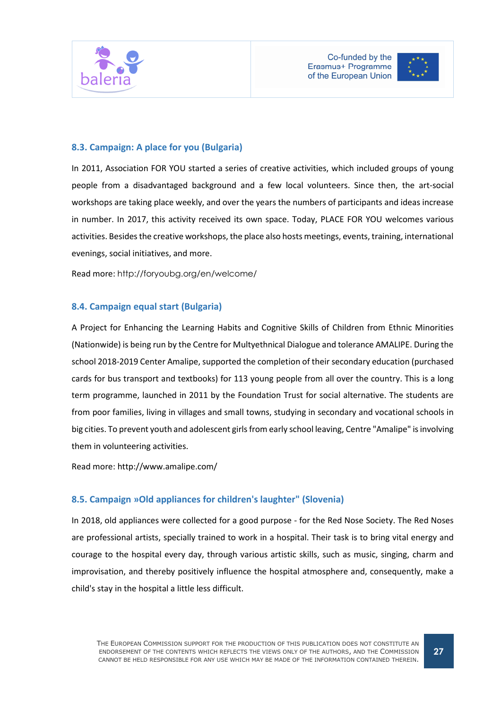



### 8.3. Campaign: A place for you (Bulgaria)

In 2011, Association FOR YOU started a series of creative activities, which included groups of young people from a disadvantaged background and a few local volunteers. Since then, the art-social workshops are taking place weekly, and over the years the numbers of participants and ideas increase in number. In 2017, this activity received its own space. Today, PLACE FOR YOU welcomes various activities. Besides the creative workshops, the place also hosts meetings, events, training, international evenings, social initiatives, and more.

Read more: http://foryoubg.org/en/welcome/

#### 8.4. Campaign equal start (Bulgaria)

A Project for Enhancing the Learning Habits and Cognitive Skills of Children from Ethnic Minorities (Nationwide) is being run by the Centre for Multyethnical Dialogue and tolerance AMALIPE. During the school 2018-2019 Center Amalipe, supported the completion of their secondary education (purchased cards for bus transport and textbooks) for 113 young people from all over the country. This is a long term programme, launched in 2011 by the Foundation Trust for social alternative. The students are from poor families, living in villages and small towns, studying in secondary and vocational schools in big cities. To prevent youth and adolescent girls from early school leaving, Centre "Amalipe" is involving them in volunteering activities.

Read more: http://www.amalipe.com/

### 8.5. Campaign »Old appliances for children's laughter" (Slovenia)

In 2018, old appliances were collected for a good purpose - for the Red Nose Society. The Red Noses are professional artists, specially trained to work in a hospital. Their task is to bring vital energy and courage to the hospital every day, through various artistic skills, such as music, singing, charm and improvisation, and thereby positively influence the hospital atmosphere and, consequently, make a child's stay in the hospital a little less difficult.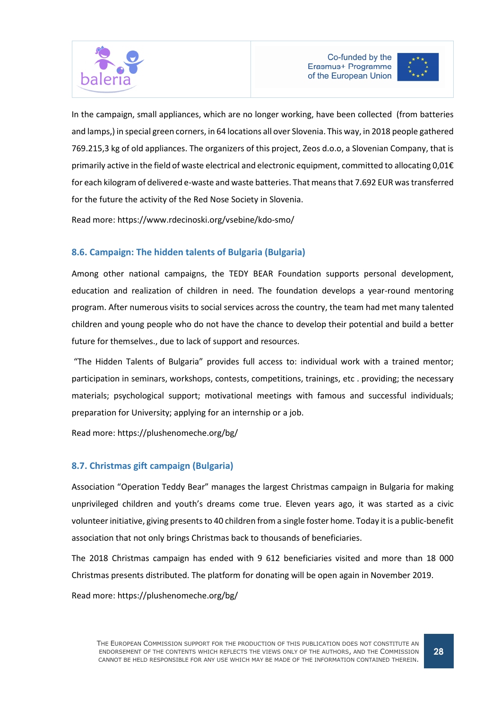



In the campaign, small appliances, which are no longer working, have been collected (from batteries and lamps,) in special green corners, in 64 locations all over Slovenia. This way, in 2018 people gathered 769.215,3 kg of old appliances. The organizers of this project, Zeos d.o.o, a Slovenian Company, that is primarily active in the field of waste electrical and electronic equipment, committed to allocating 0,01€ for each kilogram of delivered e-waste and waste batteries. That means that 7.692 EUR was transferred for the future the activity of the Red Nose Society in Slovenia.

Read more: https://www.rdecinoski.org/vsebine/kdo-smo/

## 8.6. Campaign: The hidden talents of Bulgaria (Bulgaria)

Among other national campaigns, the TEDY BEAR Foundation supports personal development, education and realization of children in need. The foundation develops a year-round mentoring program. After numerous visits to social services across the country, the team had met many talented children and young people who do not have the chance to develop their potential and build a better future for themselves., due to lack of support and resources.

 "The Hidden Talents of Bulgaria" provides full access to: individual work with a trained mentor; participation in seminars, workshops, contests, competitions, trainings, etc . providing; the necessary materials; psychological support; motivational meetings with famous and successful individuals; preparation for University; applying for an internship or a job.

Read more: https://plushenomeche.org/bg/

## 8.7. Christmas gift campaign (Bulgaria)

Association "Operation Teddy Bear" manages the largest Christmas campaign in Bulgaria for making unprivileged children and youth's dreams come true. Eleven years ago, it was started as a civic volunteer initiative, giving presents to 40 children from a single foster home. Today it is a public-benefit association that not only brings Christmas back to thousands of beneficiaries.

The 2018 Christmas campaign has ended with 9 612 beneficiaries visited and more than 18 000 Christmas presents distributed. The platform for donating will be open again in November 2019.

Read more: https://plushenomeche.org/bg/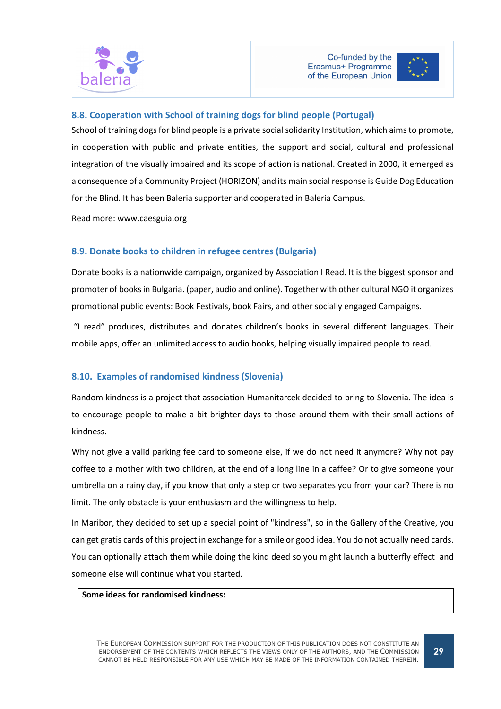



### 8.8. Cooperation with School of training dogs for blind people (Portugal)

School of training dogs for blind people is a private social solidarity Institution, which aims to promote, in cooperation with public and private entities, the support and social, cultural and professional integration of the visually impaired and its scope of action is national. Created in 2000, it emerged as a consequence of a Community Project (HORIZON) and its main social response is Guide Dog Education for the Blind. It has been Baleria supporter and cooperated in Baleria Campus.

Read more: www.caesguia.org

#### 8.9. Donate books to children in refugee centres (Bulgaria)

Donate books is a nationwide campaign, organized by Association I Read. It is the biggest sponsor and promoter of books in Bulgaria. (paper, audio and online). Together with other cultural NGO it organizes promotional public events: Book Festivals, book Fairs, and other socially engaged Campaigns.

 "I read" produces, distributes and donates children's books in several different languages. Their mobile apps, offer an unlimited access to audio books, helping visually impaired people to read.

#### 8.10. Examples of randomised kindness (Slovenia)

Random kindness is a project that association Humanitarcek decided to bring to Slovenia. The idea is to encourage people to make a bit brighter days to those around them with their small actions of kindness.

Why not give a valid parking fee card to someone else, if we do not need it anymore? Why not pay coffee to a mother with two children, at the end of a long line in a caffee? Or to give someone your umbrella on a rainy day, if you know that only a step or two separates you from your car? There is no limit. The only obstacle is your enthusiasm and the willingness to help.

In Maribor, they decided to set up a special point of "kindness", so in the Gallery of the Creative, you can get gratis cards of this project in exchange for a smile or good idea. You do not actually need cards. You can optionally attach them while doing the kind deed so you might launch a butterfly effect and someone else will continue what you started.

### Some ideas for randomised kindness: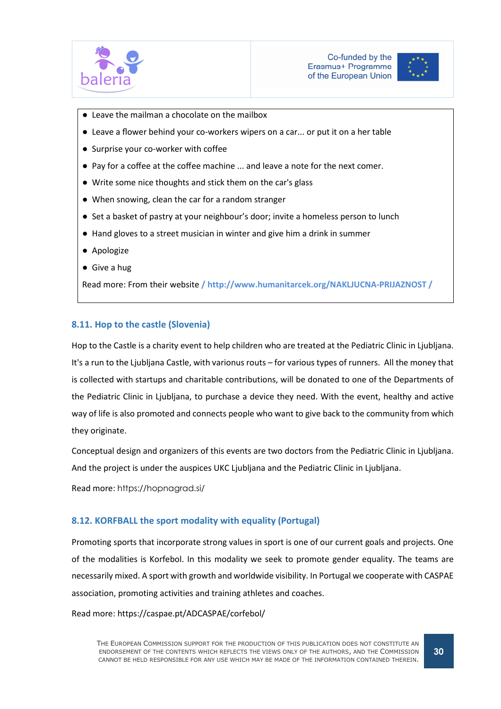



- Leave the mailman a chocolate on the mailbox
- Leave a flower behind your co-workers wipers on a car... or put it on a her table
- Surprise your co-worker with coffee
- Pay for a coffee at the coffee machine ... and leave a note for the next comer.
- Write some nice thoughts and stick them on the car's glass
- When snowing, clean the car for a random stranger
- Set a basket of pastry at your neighbour's door; invite a homeless person to lunch
- Hand gloves to a street musician in winter and give him a drink in summer
- Apologize
- Give a hug

Read more: From their website / http://www.humanitarcek.org/NAKLJUCNA-PRIJAZNOST /

#### 8.11. Hop to the castle (Slovenia)

Hop to the Castle is a charity event to help children who are treated at the Pediatric Clinic in Ljubljana. It's a run to the Ljubljana Castle, with varionus routs – for various types of runners. All the money that is collected with startups and charitable contributions, will be donated to one of the Departments of the Pediatric Clinic in Ljubljana, to purchase a device they need. With the event, healthy and active way of life is also promoted and connects people who want to give back to the community from which they originate.

Conceptual design and organizers of this events are two doctors from the Pediatric Clinic in Ljubljana. And the project is under the auspices UKC Ljubljana and the Pediatric Clinic in Ljubljana.

Read more: https://hopnagrad.si/

#### 8.12. KORFBALL the sport modality with equality (Portugal)

Promoting sports that incorporate strong values in sport is one of our current goals and projects. One of the modalities is Korfebol. In this modality we seek to promote gender equality. The teams are necessarily mixed. A sport with growth and worldwide visibility. In Portugal we cooperate with CASPAE association, promoting activities and training athletes and coaches.

Read more: https://caspae.pt/ADCASPAE/corfebol/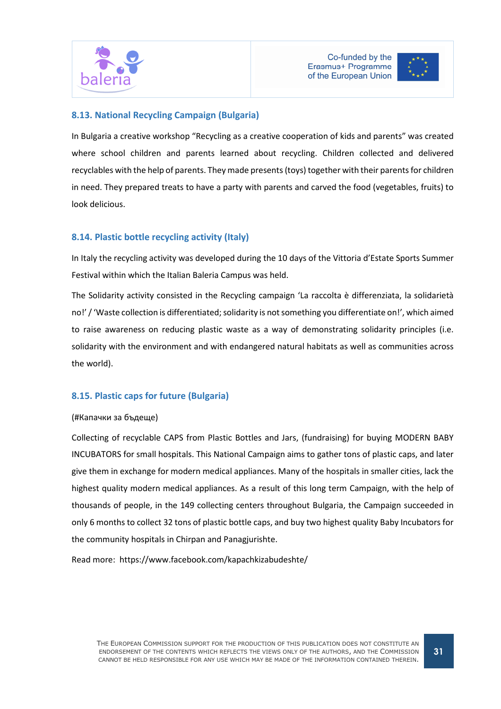



### 8.13. National Recycling Campaign (Bulgaria)

In Bulgaria a creative workshop "Recycling as a creative cooperation of kids and parents" was created where school children and parents learned about recycling. Children collected and delivered recyclables with the help of parents. They made presents (toys) together with their parents for children in need. They prepared treats to have a party with parents and carved the food (vegetables, fruits) to look delicious.

### 8.14. Plastic bottle recycling activity (Italy)

In Italy the recycling activity was developed during the 10 days of the Vittoria d'Estate Sports Summer Festival within which the Italian Baleria Campus was held.

The Solidarity activity consisted in the Recycling campaign 'La raccolta è differenziata, la solidarietà no!' / 'Waste collection is differentiated; solidarity is not something you differentiate on!', which aimed to raise awareness on reducing plastic waste as a way of demonstrating solidarity principles (i.e. solidarity with the environment and with endangered natural habitats as well as communities across the world).

## 8.15. Plastic caps for future (Bulgaria)

#### (#Капачки за бъдеще)

Collecting of recyclable CAPS from Plastic Bottles and Jars, (fundraising) for buying MODERN BABY INCUBATORS for small hospitals. This National Campaign aims to gather tons of plastic caps, and later give them in exchange for modern medical appliances. Many of the hospitals in smaller cities, lack the highest quality modern medical appliances. As a result of this long term Campaign, with the help of thousands of people, in the 149 collecting centers throughout Bulgaria, the Campaign succeeded in only 6 months to collect 32 tons of plastic bottle caps, and buy two highest quality Baby Incubators for the community hospitals in Chirpan and Panagjurishte.

Read more: https://www.facebook.com/kapachkizabudeshte/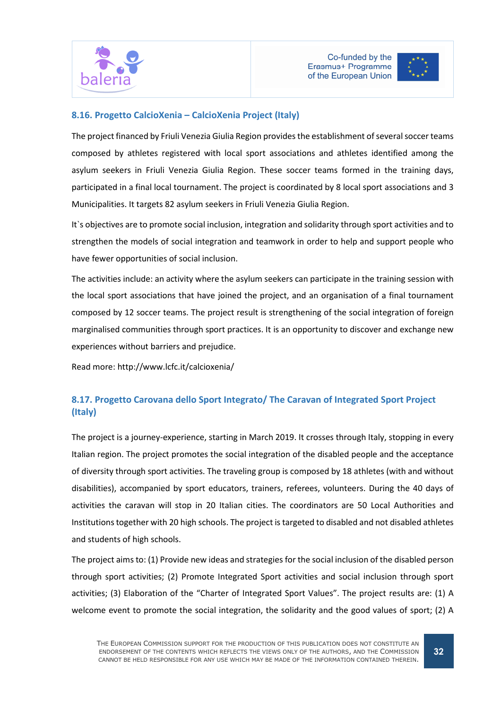



### 8.16. Progetto CalcioXenia – CalcioXenia Project (Italy)

The project financed by Friuli Venezia Giulia Region provides the establishment of several soccer teams composed by athletes registered with local sport associations and athletes identified among the asylum seekers in Friuli Venezia Giulia Region. These soccer teams formed in the training days, participated in a final local tournament. The project is coordinated by 8 local sport associations and 3 Municipalities. It targets 82 asylum seekers in Friuli Venezia Giulia Region.

It`s objectives are to promote social inclusion, integration and solidarity through sport activities and to strengthen the models of social integration and teamwork in order to help and support people who have fewer opportunities of social inclusion.

The activities include: an activity where the asylum seekers can participate in the training session with the local sport associations that have joined the project, and an organisation of a final tournament composed by 12 soccer teams. The project result is strengthening of the social integration of foreign marginalised communities through sport practices. It is an opportunity to discover and exchange new experiences without barriers and prejudice.

Read more: http://www.lcfc.it/calcioxenia/

# 8.17. Progetto Carovana dello Sport Integrato/ The Caravan of Integrated Sport Project (Italy)

The project is a journey-experience, starting in March 2019. It crosses through Italy, stopping in every Italian region. The project promotes the social integration of the disabled people and the acceptance of diversity through sport activities. The traveling group is composed by 18 athletes (with and without disabilities), accompanied by sport educators, trainers, referees, volunteers. During the 40 days of activities the caravan will stop in 20 Italian cities. The coordinators are 50 Local Authorities and Institutions together with 20 high schools. The project is targeted to disabled and not disabled athletes and students of high schools.

The project aims to: (1) Provide new ideas and strategies for the social inclusion of the disabled person through sport activities; (2) Promote Integrated Sport activities and social inclusion through sport activities; (3) Elaboration of the "Charter of Integrated Sport Values". The project results are: (1) A welcome event to promote the social integration, the solidarity and the good values of sport; (2) A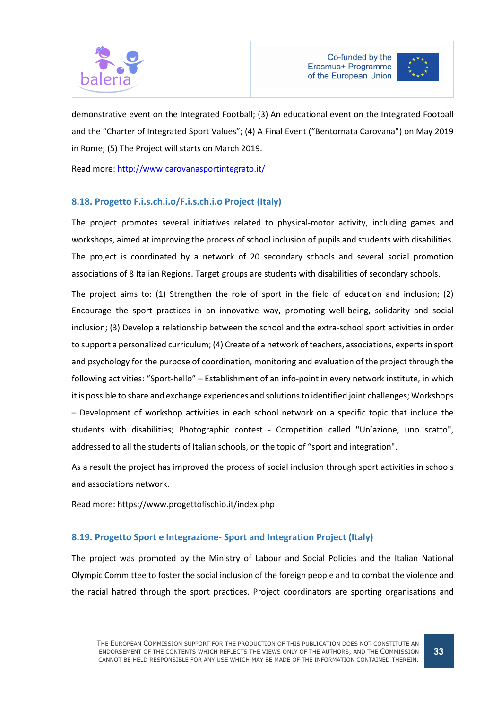



demonstrative event on the Integrated Football; (3) An educational event on the Integrated Football and the "Charter of Integrated Sport Values"; (4) A Final Event ("Bentornata Carovana") on May 2019 in Rome; (5) The Project will starts on March 2019.

Read more: http://www.carovanasportintegrato.it/

### 8.18. Progetto F.i.s.ch.i.o/F.i.s.ch.i.o Project (Italy)

The project promotes several initiatives related to physical-motor activity, including games and workshops, aimed at improving the process of school inclusion of pupils and students with disabilities. The project is coordinated by a network of 20 secondary schools and several social promotion associations of 8 Italian Regions. Target groups are students with disabilities of secondary schools.

The project aims to: (1) Strengthen the role of sport in the field of education and inclusion; (2) Encourage the sport practices in an innovative way, promoting well-being, solidarity and social inclusion; (3) Develop a relationship between the school and the extra-school sport activities in order to support a personalized curriculum; (4) Create of a network of teachers, associations, experts in sport and psychology for the purpose of coordination, monitoring and evaluation of the project through the following activities: "Sport-hello" – Establishment of an info-point in every network institute, in which it is possible to share and exchange experiences and solutions to identified joint challenges; Workshops – Development of workshop activities in each school network on a specific topic that include the students with disabilities; Photographic contest - Competition called "Un'azione, uno scatto", addressed to all the students of Italian schools, on the topic of "sport and integration".

As a result the project has improved the process of social inclusion through sport activities in schools and associations network.

Read more: https://www.progettofischio.it/index.php

### 8.19. Progetto Sport e Integrazione- Sport and Integration Project (Italy)

The project was promoted by the Ministry of Labour and Social Policies and the Italian National Olympic Committee to foster the social inclusion of the foreign people and to combat the violence and the racial hatred through the sport practices. Project coordinators are sporting organisations and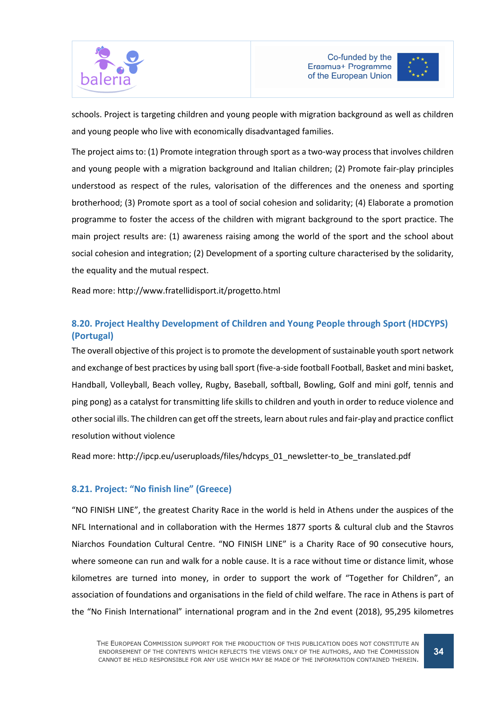



schools. Project is targeting children and young people with migration background as well as children and young people who live with economically disadvantaged families.

The project aims to: (1) Promote integration through sport as a two-way process that involves children and young people with a migration background and Italian children; (2) Promote fair-play principles understood as respect of the rules, valorisation of the differences and the oneness and sporting brotherhood; (3) Promote sport as a tool of social cohesion and solidarity; (4) Elaborate a promotion programme to foster the access of the children with migrant background to the sport practice. The main project results are: (1) awareness raising among the world of the sport and the school about social cohesion and integration; (2) Development of a sporting culture characterised by the solidarity, the equality and the mutual respect.

Read more: http://www.fratellidisport.it/progetto.html

## 8.20. Project Healthy Development of Children and Young People through Sport (HDCYPS) (Portugal)

The overall objective of this project is to promote the development of sustainable youth sport network and exchange of best practices by using ball sport (five-a-side football Football, Basket and mini basket, Handball, Volleyball, Beach volley, Rugby, Baseball, softball, Bowling, Golf and mini golf, tennis and ping pong) as a catalyst for transmitting life skills to children and youth in order to reduce violence and other social ills. The children can get off the streets, learn about rules and fair-play and practice conflict resolution without violence

Read more: http://ipcp.eu/useruploads/files/hdcyps\_01\_newsletter-to\_be\_translated.pdf

### 8.21. Project: "No finish line" (Greece)

"NO FINISH LINE", the greatest Charity Race in the world is held in Athens under the auspices of the NFL International and in collaboration with the Hermes 1877 sports & cultural club and the Stavros Niarchos Foundation Cultural Centre. "NO FINISH LINE" is a Charity Race of 90 consecutive hours, where someone can run and walk for a noble cause. It is a race without time or distance limit, whose kilometres are turned into money, in order to support the work of "Together for Children", an association of foundations and organisations in the field of child welfare. The race in Athens is part of the "No Finish International" international program and in the 2nd event (2018), 95,295 kilometres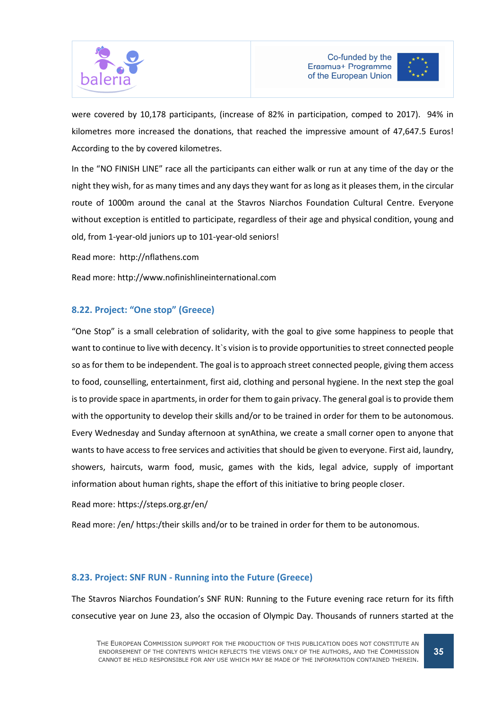



were covered by 10,178 participants, (increase of 82% in participation, comped to 2017). 94% in kilometres more increased the donations, that reached the impressive amount of 47,647.5 Euros! According to the by covered kilometres.

In the "NO FINISH LINE" race all the participants can either walk or run at any time of the day or the night they wish, for as many times and any days they want for as long as it pleases them, in the circular route of 1000m around the canal at the Stavros Niarchos Foundation Cultural Centre. Everyone without exception is entitled to participate, regardless of their age and physical condition, young and old, from 1-year-old juniors up to 101-year-old seniors!

Read more: http://nflathens.com

Read more: http://www.nofinishlineinternational.com

### 8.22. Project: "One stop" (Greece)

"One Stop" is a small celebration of solidarity, with the goal to give some happiness to people that want to continue to live with decency. It's vision is to provide opportunities to street connected people so as for them to be independent. The goal is to approach street connected people, giving them access to food, counselling, entertainment, first aid, clothing and personal hygiene. In the next step the goal is to provide space in apartments, in order for them to gain privacy. The general goal is to provide them with the opportunity to develop their skills and/or to be trained in order for them to be autonomous. Every Wednesday and Sunday afternoon at synAthina, we create a small corner open to anyone that wants to have access to free services and activities that should be given to everyone. First aid, laundry, showers, haircuts, warm food, music, games with the kids, legal advice, supply of important information about human rights, shape the effort of this initiative to bring people closer.

Read more: https://steps.org.gr/en/

Read more: /en/ https:/their skills and/or to be trained in order for them to be autonomous.

#### 8.23. Project: SNF RUN - Running into the Future (Greece)

The Stavros Niarchos Foundation's SNF RUN: Running to the Future evening race return for its fifth consecutive year on June 23, also the occasion of Olympic Day. Thousands of runners started at the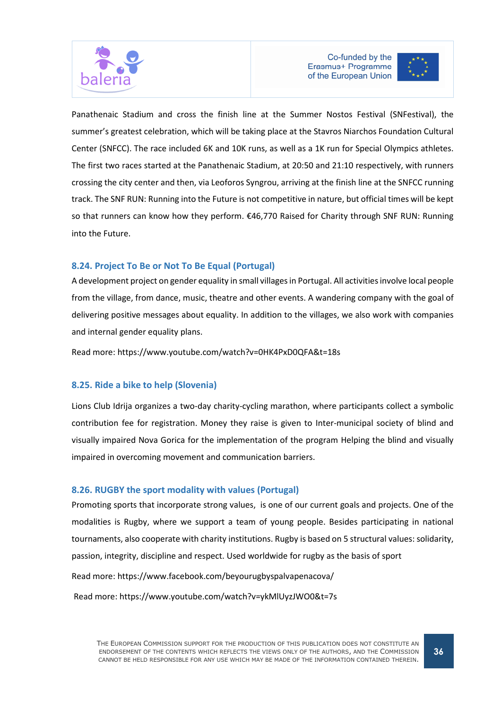



Panathenaic Stadium and cross the finish line at the Summer Nostos Festival (SNFestival), the summer's greatest celebration, which will be taking place at the Stavros Niarchos Foundation Cultural Center (SNFCC). The race included 6K and 10K runs, as well as a 1K run for Special Olympics athletes. The first two races started at the Panathenaic Stadium, at 20:50 and 21:10 respectively, with runners crossing the city center and then, via Leoforos Syngrou, arriving at the finish line at the SNFCC running track. The SNF RUN: Running into the Future is not competitive in nature, but official times will be kept so that runners can know how they perform. €46,770 Raised for Charity through SNF RUN: Running into the Future.

## 8.24. Project To Be or Not To Be Equal (Portugal)

A development project on gender equality in small villages in Portugal. All activities involve local people from the village, from dance, music, theatre and other events. A wandering company with the goal of delivering positive messages about equality. In addition to the villages, we also work with companies and internal gender equality plans.

Read more: https://www.youtube.com/watch?v=0HK4PxD0QFA&t=18s

### 8.25. Ride a bike to help (Slovenia)

Lions Club Idrija organizes a two-day charity-cycling marathon, where participants collect a symbolic contribution fee for registration. Money they raise is given to Inter-municipal society of blind and visually impaired Nova Gorica for the implementation of the program Helping the blind and visually impaired in overcoming movement and communication barriers.

## 8.26. RUGBY the sport modality with values (Portugal)

Promoting sports that incorporate strong values, is one of our current goals and projects. One of the modalities is Rugby, where we support a team of young people. Besides participating in national tournaments, also cooperate with charity institutions. Rugby is based on 5 structural values: solidarity, passion, integrity, discipline and respect. Used worldwide for rugby as the basis of sport

Read more: https://www.facebook.com/beyourugbyspalvapenacova/

Read more: https://www.youtube.com/watch?v=ykMlUyzJWO0&t=7s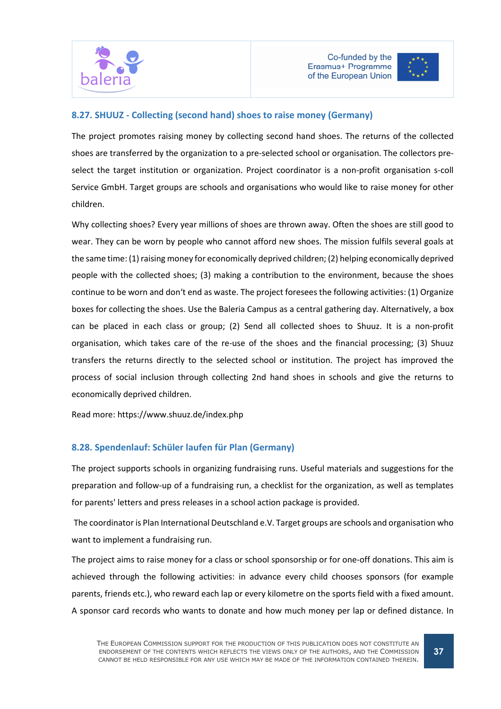



### 8.27. SHUUZ - Collecting (second hand) shoes to raise money (Germany)

The project promotes raising money by collecting second hand shoes. The returns of the collected shoes are transferred by the organization to a pre-selected school or organisation. The collectors preselect the target institution or organization. Project coordinator is a non-profit organisation s-coll Service GmbH. Target groups are schools and organisations who would like to raise money for other children.

Why collecting shoes? Every year millions of shoes are thrown away. Often the shoes are still good to wear. They can be worn by people who cannot afford new shoes. The mission fulfils several goals at the same time: (1) raising money for economically deprived children; (2) helping economically deprived people with the collected shoes; (3) making a contribution to the environment, because the shoes continue to be worn and don't end as waste. The project foresees the following activities: (1) Organize boxes for collecting the shoes. Use the Baleria Campus as a central gathering day. Alternatively, a box can be placed in each class or group; (2) Send all collected shoes to Shuuz. It is a non-profit organisation, which takes care of the re-use of the shoes and the financial processing; (3) Shuuz transfers the returns directly to the selected school or institution. The project has improved the process of social inclusion through collecting 2nd hand shoes in schools and give the returns to economically deprived children.

Read more: https://www.shuuz.de/index.php

## 8.28. Spendenlauf: Schüler laufen für Plan (Germany)

The project supports schools in organizing fundraising runs. Useful materials and suggestions for the preparation and follow-up of a fundraising run, a checklist for the organization, as well as templates for parents' letters and press releases in a school action package is provided.

 The coordinator is Plan International Deutschland e.V. Target groups are schools and organisation who want to implement a fundraising run.

The project aims to raise money for a class or school sponsorship or for one-off donations. This aim is achieved through the following activities: in advance every child chooses sponsors (for example parents, friends etc.), who reward each lap or every kilometre on the sports field with a fixed amount. A sponsor card records who wants to donate and how much money per lap or defined distance. In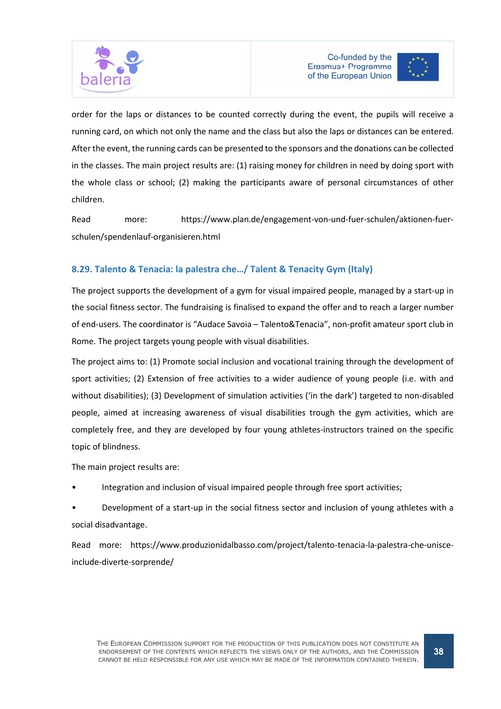



order for the laps or distances to be counted correctly during the event, the pupils will receive a running card, on which not only the name and the class but also the laps or distances can be entered. After the event, the running cards can be presented to the sponsors and the donations can be collected in the classes. The main project results are: (1) raising money for children in need by doing sport with the whole class or school; (2) making the participants aware of personal circumstances of other children.

Read more: https://www.plan.de/engagement-von-und-fuer-schulen/aktionen-fuerschulen/spendenlauf-organisieren.html

# 8.29. Talento & Tenacia: la palestra che…/ Talent & Tenacity Gym (Italy)

The project supports the development of a gym for visual impaired people, managed by a start-up in the social fitness sector. The fundraising is finalised to expand the offer and to reach a larger number of end-users. The coordinator is "Audace Savoia – Talento&Tenacia", non-profit amateur sport club in Rome. The project targets young people with visual disabilities.

The project aims to: (1) Promote social inclusion and vocational training through the development of sport activities; (2) Extension of free activities to a wider audience of young people (i.e. with and without disabilities); (3) Development of simulation activities ('in the dark') targeted to non-disabled people, aimed at increasing awareness of visual disabilities trough the gym activities, which are completely free, and they are developed by four young athletes-instructors trained on the specific topic of blindness.

The main project results are:

• Integration and inclusion of visual impaired people through free sport activities;

• Development of a start-up in the social fitness sector and inclusion of young athletes with a social disadvantage.

Read more: https://www.produzionidalbasso.com/project/talento-tenacia-la-palestra-che-unisceinclude-diverte-sorprende/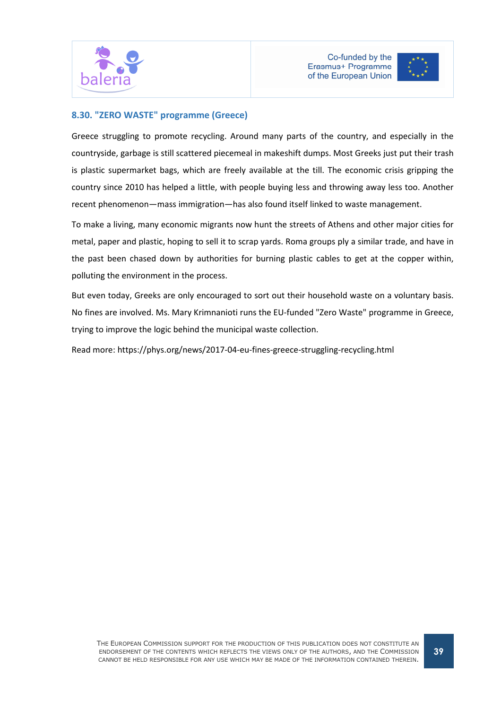



## 8.30. "ZERO WASTE" programme (Greece)

Greece struggling to promote recycling. Around many parts of the country, and especially in the countryside, garbage is still scattered piecemeal in makeshift dumps. Most Greeks just put their trash is plastic supermarket bags, which are freely available at the till. The economic crisis gripping the country since 2010 has helped a little, with people buying less and throwing away less too. Another recent phenomenon—mass immigration—has also found itself linked to waste management.

To make a living, many economic migrants now hunt the streets of Athens and other major cities for metal, paper and plastic, hoping to sell it to scrap yards. Roma groups ply a similar trade, and have in the past been chased down by authorities for burning plastic cables to get at the copper within, polluting the environment in the process.

But even today, Greeks are only encouraged to sort out their household waste on a voluntary basis. No fines are involved. Ms. Mary Krimnanioti runs the EU-funded "Zero Waste" programme in Greece, trying to improve the logic behind the municipal waste collection.

Read more: https://phys.org/news/2017-04-eu-fines-greece-struggling-recycling.html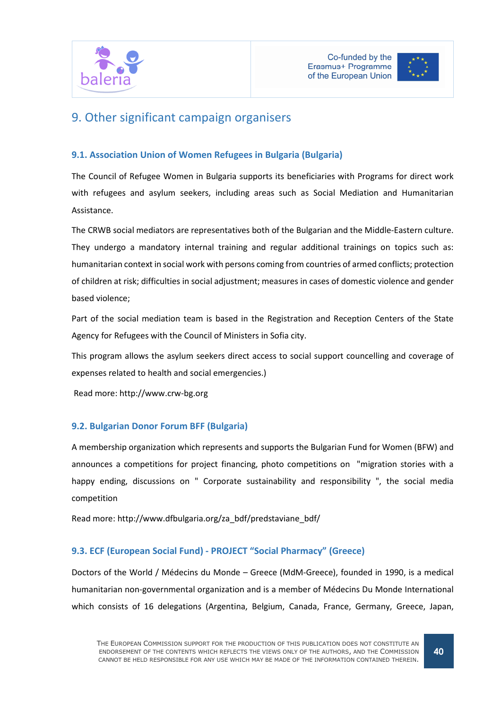



# 9. Other significant campaign organisers

## 9.1. Association Union of Women Refugees in Bulgaria (Bulgaria)

The Council of Refugee Women in Bulgaria supports its beneficiaries with Programs for direct work with refugees and asylum seekers, including areas such as Social Mediation and Humanitarian Assistance.

The CRWB social mediators are representatives both of the Bulgarian and the Middle-Eastern culture. They undergo a mandatory internal training and regular additional trainings on topics such as: humanitarian context in social work with persons coming from countries of armed conflicts; protection of children at risk; difficulties in social adjustment; measures in cases of domestic violence and gender based violence;

Part of the social mediation team is based in the Registration and Reception Centers of the State Agency for Refugees with the Council of Ministers in Sofia city.

This program allows the asylum seekers direct access to social support councelling and coverage of expenses related to health and social emergencies.)

Read more: http://www.crw-bg.org

### 9.2. Bulgarian Donor Forum BFF (Bulgaria)

A membership organization which represents and supports the Bulgarian Fund for Women (BFW) and announces a competitions for project financing, photo competitions on "migration stories with a happy ending, discussions on " Corporate sustainability and responsibility ", the social media competition

Read more: http://www.dfbulgaria.org/za\_bdf/predstaviane\_bdf/

## 9.3. ECF (European Social Fund) - PROJECT "Social Pharmacy" (Greece)

Doctors of the World / Médecins du Monde – Greece (MdM-Greece), founded in 1990, is a medical humanitarian non-governmental organization and is a member of Médecins Du Monde International which consists of 16 delegations (Argentina, Belgium, Canada, France, Germany, Greece, Japan,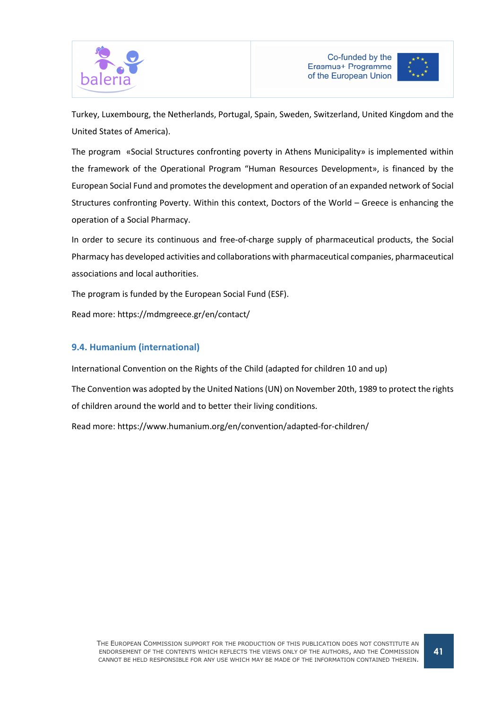



Turkey, Luxembourg, the Netherlands, Portugal, Spain, Sweden, Switzerland, United Kingdom and the United States of America).

The program «Social Structures confronting poverty in Athens Municipality» is implemented within the framework of the Operational Program "Human Resources Development», is financed by the European Social Fund and promotes the development and operation of an expanded network of Social Structures confronting Poverty. Within this context, Doctors of the World – Greece is enhancing the operation of a Social Pharmacy.

In order to secure its continuous and free-of-charge supply of pharmaceutical products, the Social Pharmacy has developed activities and collaborations with pharmaceutical companies, pharmaceutical associations and local authorities.

The program is funded by the European Social Fund (ESF).

Read more: https://mdmgreece.gr/en/contact/

#### 9.4. Humanium (international)

International Convention on the Rights of the Child (adapted for children 10 and up)

The Convention was adopted by the United Nations (UN) on November 20th, 1989 to protect the rights of children around the world and to better their living conditions.

Read more: https://www.humanium.org/en/convention/adapted-for-children/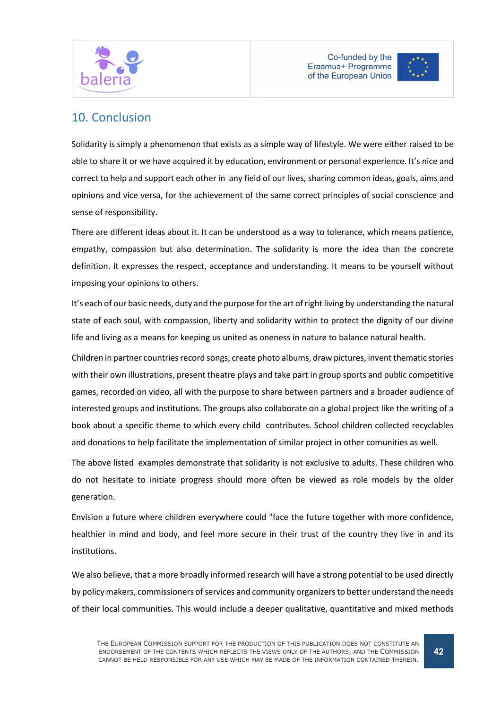



# 10. Conclusion

Solidarity is simply a phenomenon that exists as a simple way of lifestyle. We were either raised to be able to share it or we have acquired it by education, environment or personal experience. It's nice and correct to help and support each other in any field of our lives, sharing common ideas, goals, aims and opinions and vice versa, for the achievement of the same correct principles of social conscience and sense of responsibility.

There are different ideas about it. It can be understood as a way to tolerance, which means patience, empathy, compassion but also determination. The solidarity is more the idea than the concrete definition. It expresses the respect, acceptance and understanding. It means to be yourself without imposing your opinions to others.

It's each of our basic needs, duty and the purpose for the art of right living by understanding the natural state of each soul, with compassion, liberty and solidarity within to protect the dignity of our divine life and living as a means for keeping us united as oneness in nature to balance natural health.

Children in partner countries record songs, create photo albums, draw pictures, invent thematic stories with their own illustrations, present theatre plays and take part in group sports and public competitive games, recorded on video, all with the purpose to share between partners and a broader audience of interested groups and institutions. The groups also collaborate on a global project like the writing of a book about a specific theme to which every child contributes. School children collected recyclables and donations to help facilitate the implementation of similar project in other comunities as well.

The above listed examples demonstrate that solidarity is not exclusive to adults. These children who do not hesitate to initiate progress should more often be viewed as role models by the older generation.

Envision a future where children everywhere could "face the future together with more confidence, healthier in mind and body, and feel more secure in their trust of the country they live in and its institutions.

We also believe, that a more broadly informed research will have a strong potential to be used directly by policy makers, commissioners of services and community organizers to better understand the needs of their local communities. This would include a deeper qualitative, quantitative and mixed methods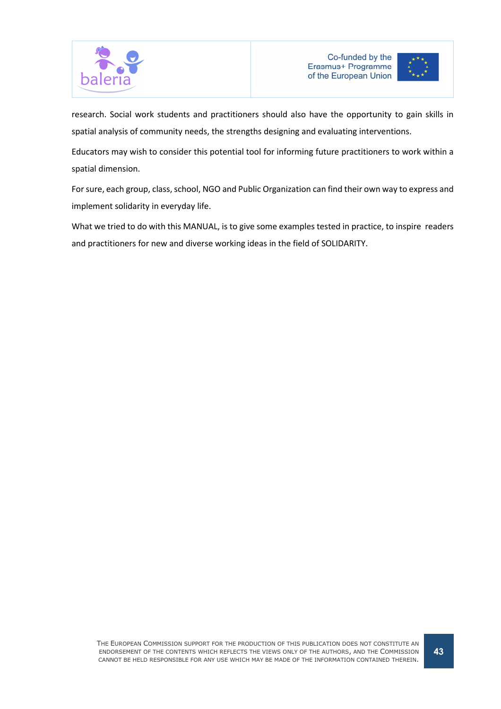



research. Social work students and practitioners should also have the opportunity to gain skills in spatial analysis of community needs, the strengths designing and evaluating interventions.

Educators may wish to consider this potential tool for informing future practitioners to work within a spatial dimension.

For sure, each group, class, school, NGO and Public Organization can find their own way to express and implement solidarity in everyday life.

What we tried to do with this MANUAL, is to give some examples tested in practice, to inspire readers and practitioners for new and diverse working ideas in the field of SOLIDARITY.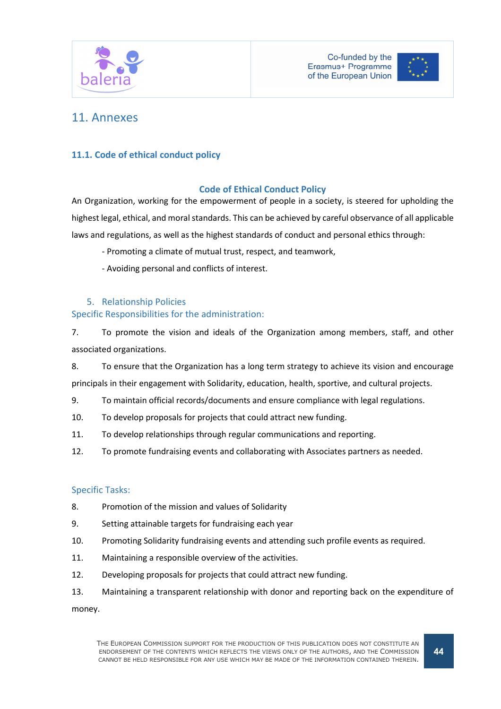



# 11. Annexes

## 11.1. Code of ethical conduct policy

## Code of Ethical Conduct Policy

An Organization, working for the empowerment of people in a society, is steered for upholding the highest legal, ethical, and moral standards. This can be achieved by careful observance of all applicable laws and regulations, as well as the highest standards of conduct and personal ethics through:

- Promoting a climate of mutual trust, respect, and teamwork,
- Avoiding personal and conflicts of interest.

### 5. Relationship Policies

### Specific Responsibilities for the administration:

7. To promote the vision and ideals of the Organization among members, staff, and other associated organizations.

8. To ensure that the Organization has a long term strategy to achieve its vision and encourage

principals in their engagement with Solidarity, education, health, sportive, and cultural projects.

- 9. To maintain official records/documents and ensure compliance with legal regulations.
- 10. To develop proposals for projects that could attract new funding.
- 11. To develop relationships through regular communications and reporting.
- 12. To promote fundraising events and collaborating with Associates partners as needed.

#### Specific Tasks:

- 8. Promotion of the mission and values of Solidarity
- 9. Setting attainable targets for fundraising each year
- 10. Promoting Solidarity fundraising events and attending such profile events as required.
- 11. Maintaining a responsible overview of the activities.
- 12. Developing proposals for projects that could attract new funding.
- 13. Maintaining a transparent relationship with donor and reporting back on the expenditure of

money.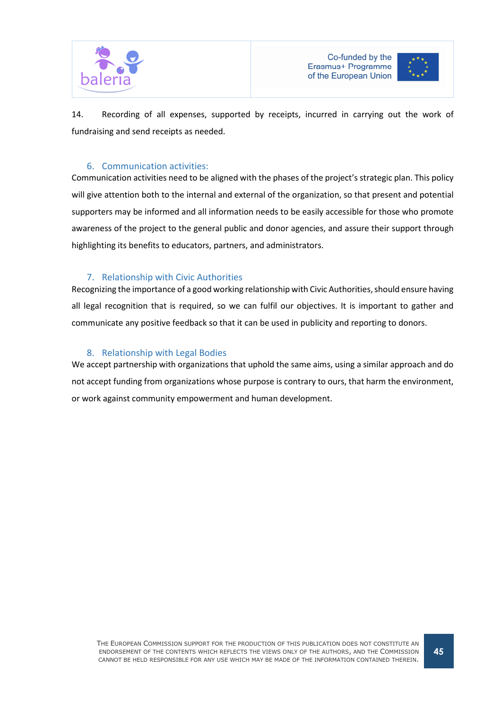



14. Recording of all expenses, supported by receipts, incurred in carrying out the work of fundraising and send receipts as needed.

### 6. Communication activities:

Communication activities need to be aligned with the phases of the project's strategic plan. This policy will give attention both to the internal and external of the organization, so that present and potential supporters may be informed and all information needs to be easily accessible for those who promote awareness of the project to the general public and donor agencies, and assure their support through highlighting its benefits to educators, partners, and administrators.

## 7. Relationship with Civic Authorities

Recognizing the importance of a good working relationship with Civic Authorities, should ensure having all legal recognition that is required, so we can fulfil our objectives. It is important to gather and communicate any positive feedback so that it can be used in publicity and reporting to donors.

#### 8. Relationship with Legal Bodies

We accept partnership with organizations that uphold the same aims, using a similar approach and do not accept funding from organizations whose purpose is contrary to ours, that harm the environment, or work against community empowerment and human development.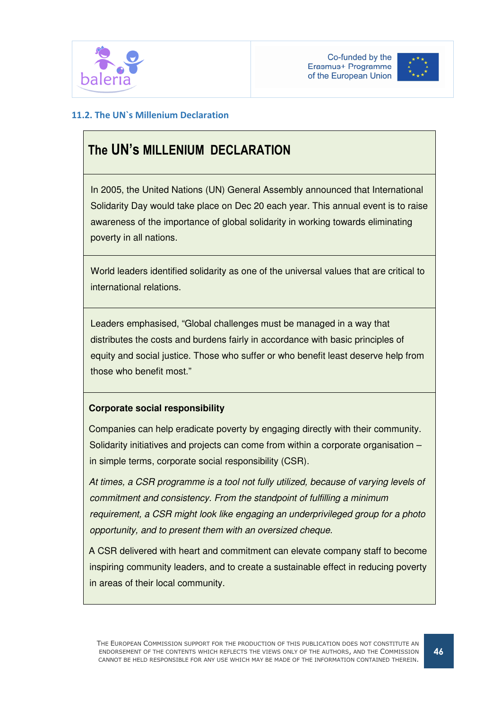



## 11.2. The UN`s Millenium Declaration

# The UN's MILLENIUM DECLARATION

In 2005, the United Nations (UN) General Assembly announced that International Solidarity Day would take place on Dec 20 each year. This annual event is to raise awareness of the importance of global solidarity in working towards eliminating poverty in all nations.

World leaders identified solidarity as one of the universal values that are critical to international relations.

Leaders emphasised, "Global challenges must be managed in a way that distributes the costs and burdens fairly in accordance with basic principles of equity and social justice. Those who suffer or who benefit least deserve help from those who benefit most."

## **Corporate social responsibility**

 Companies can help eradicate poverty by engaging directly with their community. Solidarity initiatives and projects can come from within a corporate organisation – in simple terms, corporate social responsibility (CSR).

 At times, a CSR programme is a tool not fully utilized, because of varying levels of commitment and consistency. From the standpoint of fulfilling a minimum requirement, a CSR might look like engaging an underprivileged group for a photo opportunity, and to present them with an oversized cheque.

 A CSR delivered with heart and commitment can elevate company staff to become inspiring community leaders, and to create a sustainable effect in reducing poverty in areas of their local community.